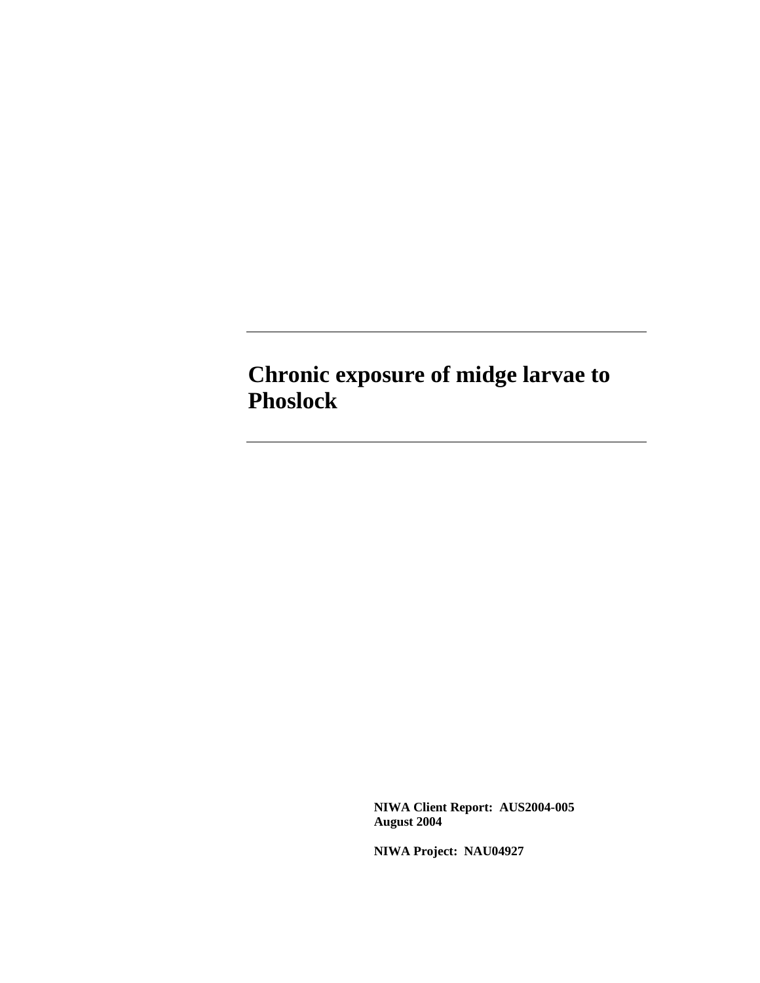# **Chronic exposure of midge larvae to Phoslock**

 **NIWA Client Report: AUS2004-005 August 2004** 

**NIWA Project: NAU04927**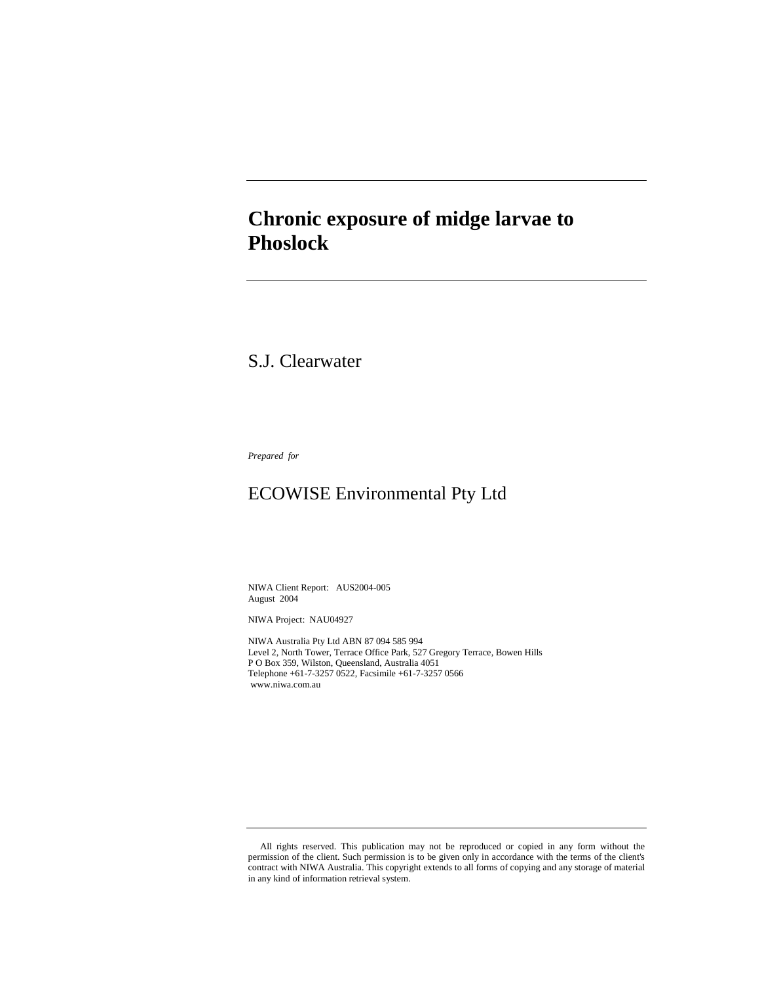# **Chronic exposure of midge larvae to Phoslock**

# S.J. Clearwater

*Prepared for* 

# ECOWISE Environmental Pty Ltd

NIWA Client Report: AUS2004-005 August 2004

NIWA Project: NAU04927

NIWA Australia Pty Ltd ABN 87 094 585 994 Level 2, North Tower, Terrace Office Park, 527 Gregory Terrace, Bowen Hills P O Box 359, Wilston, Queensland, Australia 4051 Telephone +61-7-3257 0522, Facsimile +61-7-3257 0566 www.niwa.com.au

 All rights reserved. This publication may not be reproduced or copied in any form without the permission of the client. Such permission is to be given only in accordance with the terms of the client's contract with NIWA Australia. This copyright extends to all forms of copying and any storage of material in any kind of information retrieval system.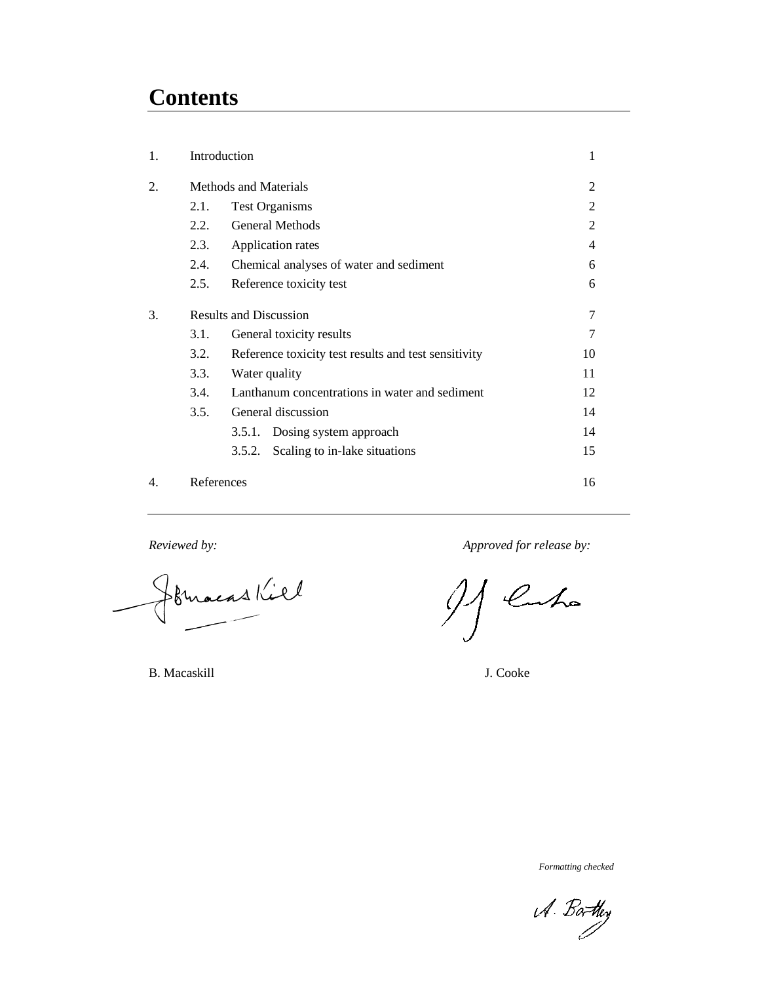# **Contents**

| 1. |                               | Introduction                                         | 1              |
|----|-------------------------------|------------------------------------------------------|----------------|
| 2. | <b>Methods and Materials</b>  | $\overline{2}$                                       |                |
|    | 2.1.                          | <b>Test Organisms</b>                                | $\overline{c}$ |
|    | 2.2.                          | General Methods                                      | $\overline{c}$ |
|    | 2.3.                          | Application rates                                    | 4              |
|    | 2.4.                          | Chemical analyses of water and sediment              | 6              |
|    | 2.5.                          | Reference toxicity test                              | 6              |
| 3. | <b>Results and Discussion</b> | 7                                                    |                |
|    | 3.1.                          | General toxicity results                             | $\overline{7}$ |
|    | 3.2.                          | Reference toxicity test results and test sensitivity | 10             |
|    | 3.3.                          | Water quality                                        | 11             |
|    | 3.4.                          | Lanthanum concentrations in water and sediment       | 12             |
|    | 3.5.                          | General discussion                                   | 14             |
|    |                               | 3.5.1. Dosing system approach                        | 14             |
|    |                               | Scaling to in-lake situations<br>3.5.2.              | 15             |
| 4. | References                    |                                                      | 16             |

formacas Kill

*Reviewed by: Approved for release by:* 

luho

B. Macaskill J. Cooke

*Formatting checked*

A. Barthey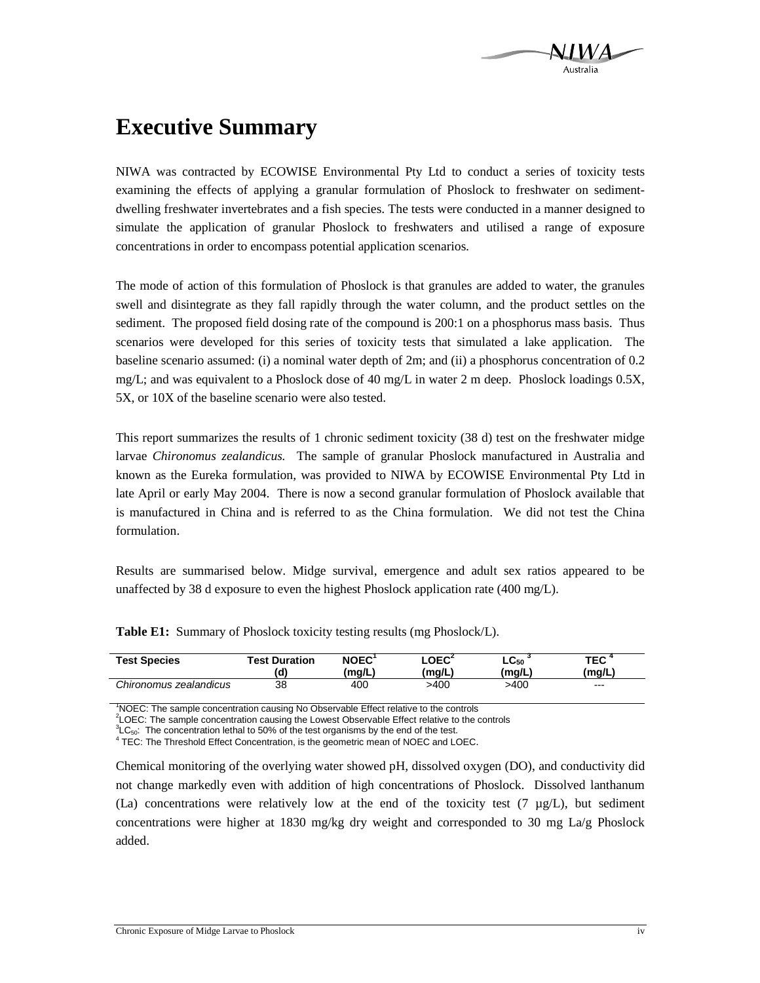

# **Executive Summary**

NIWA was contracted by ECOWISE Environmental Pty Ltd to conduct a series of toxicity tests examining the effects of applying a granular formulation of Phoslock to freshwater on sedimentdwelling freshwater invertebrates and a fish species. The tests were conducted in a manner designed to simulate the application of granular Phoslock to freshwaters and utilised a range of exposure concentrations in order to encompass potential application scenarios.

The mode of action of this formulation of Phoslock is that granules are added to water, the granules swell and disintegrate as they fall rapidly through the water column, and the product settles on the sediment. The proposed field dosing rate of the compound is 200:1 on a phosphorus mass basis. Thus scenarios were developed for this series of toxicity tests that simulated a lake application. The baseline scenario assumed: (i) a nominal water depth of 2m; and (ii) a phosphorus concentration of 0.2 mg/L; and was equivalent to a Phoslock dose of 40 mg/L in water 2 m deep. Phoslock loadings 0.5X, 5X, or 10X of the baseline scenario were also tested.

This report summarizes the results of 1 chronic sediment toxicity (38 d) test on the freshwater midge larvae *Chironomus zealandicus.* The sample of granular Phoslock manufactured in Australia and known as the Eureka formulation, was provided to NIWA by ECOWISE Environmental Pty Ltd in late April or early May 2004. There is now a second granular formulation of Phoslock available that is manufactured in China and is referred to as the China formulation. We did not test the China formulation.

Results are summarised below. Midge survival, emergence and adult sex ratios appeared to be unaffected by 38 d exposure to even the highest Phoslock application rate (400 mg/L).

| <b>Test Species</b>    | <b>Test Duration</b><br>d) | NOEC <sup>1</sup><br>'ma/L) | LOEC <sup>2</sup><br>(ma/L) | $LC_{50}$<br>(ma/L) | TEC <sup>4</sup><br>(ma/L) |  |
|------------------------|----------------------------|-----------------------------|-----------------------------|---------------------|----------------------------|--|
| Chironomus zealandicus | 38                         | 400                         | >400                        | >400                | $---$                      |  |

**Table E1:** Summary of Phoslock toxicity testing results (mg Phoslock/L).

<sup>1</sup>NOEC: The sample concentration causing No Observable Effect relative to the controls

<sup>2</sup>LOEC: The sample concentration causing the Lowest Observable Effect relative to the controls

 ${}^{3}LC_{50}$ : The concentration lethal to 50% of the test organisms by the end of the test.

<sup>4</sup> TEC: The Threshold Effect Concentration, is the geometric mean of NOEC and LOEC.

Chemical monitoring of the overlying water showed pH, dissolved oxygen (DO), and conductivity did not change markedly even with addition of high concentrations of Phoslock. Dissolved lanthanum (La) concentrations were relatively low at the end of the toxicity test (7  $\mu g/L$ ), but sediment concentrations were higher at 1830 mg/kg dry weight and corresponded to 30 mg La/g Phoslock added.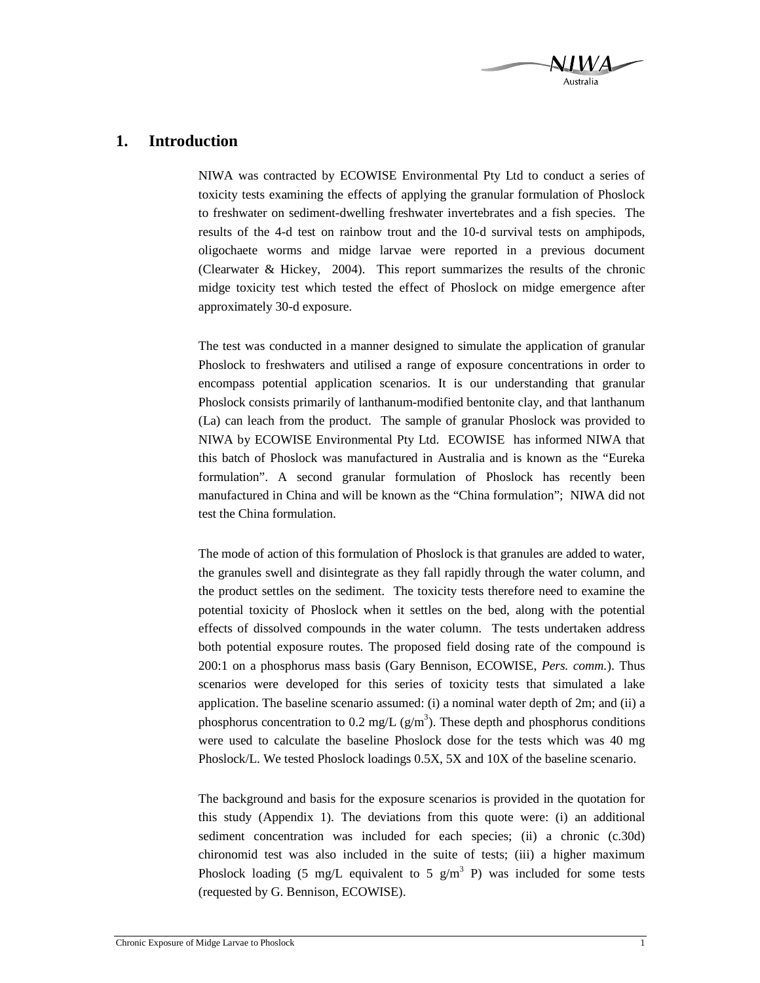

# **1. Introduction**

NIWA was contracted by ECOWISE Environmental Pty Ltd to conduct a series of toxicity tests examining the effects of applying the granular formulation of Phoslock to freshwater on sediment-dwelling freshwater invertebrates and a fish species. The results of the 4-d test on rainbow trout and the 10-d survival tests on amphipods, oligochaete worms and midge larvae were reported in a previous document (Clearwater & Hickey, 2004). This report summarizes the results of the chronic midge toxicity test which tested the effect of Phoslock on midge emergence after approximately 30-d exposure.

The test was conducted in a manner designed to simulate the application of granular Phoslock to freshwaters and utilised a range of exposure concentrations in order to encompass potential application scenarios. It is our understanding that granular Phoslock consists primarily of lanthanum-modified bentonite clay, and that lanthanum (La) can leach from the product. The sample of granular Phoslock was provided to NIWA by ECOWISE Environmental Pty Ltd. ECOWISE has informed NIWA that this batch of Phoslock was manufactured in Australia and is known as the "Eureka formulation". A second granular formulation of Phoslock has recently been manufactured in China and will be known as the "China formulation"; NIWA did not test the China formulation.

The mode of action of this formulation of Phoslock is that granules are added to water, the granules swell and disintegrate as they fall rapidly through the water column, and the product settles on the sediment. The toxicity tests therefore need to examine the potential toxicity of Phoslock when it settles on the bed, along with the potential effects of dissolved compounds in the water column. The tests undertaken address both potential exposure routes. The proposed field dosing rate of the compound is 200:1 on a phosphorus mass basis (Gary Bennison, ECOWISE, *Pers. comm.*). Thus scenarios were developed for this series of toxicity tests that simulated a lake application. The baseline scenario assumed: (i) a nominal water depth of 2m; and (ii) a phosphorus concentration to 0.2 mg/L  $(g/m<sup>3</sup>)$ . These depth and phosphorus conditions were used to calculate the baseline Phoslock dose for the tests which was 40 mg Phoslock/L. We tested Phoslock loadings 0.5X, 5X and 10X of the baseline scenario.

The background and basis for the exposure scenarios is provided in the quotation for this study (Appendix 1). The deviations from this quote were: (i) an additional sediment concentration was included for each species; (ii) a chronic (c.30d) chironomid test was also included in the suite of tests; (iii) a higher maximum Phoslock loading (5 mg/L equivalent to 5 g/m<sup>3</sup> P) was included for some tests (requested by G. Bennison, ECOWISE).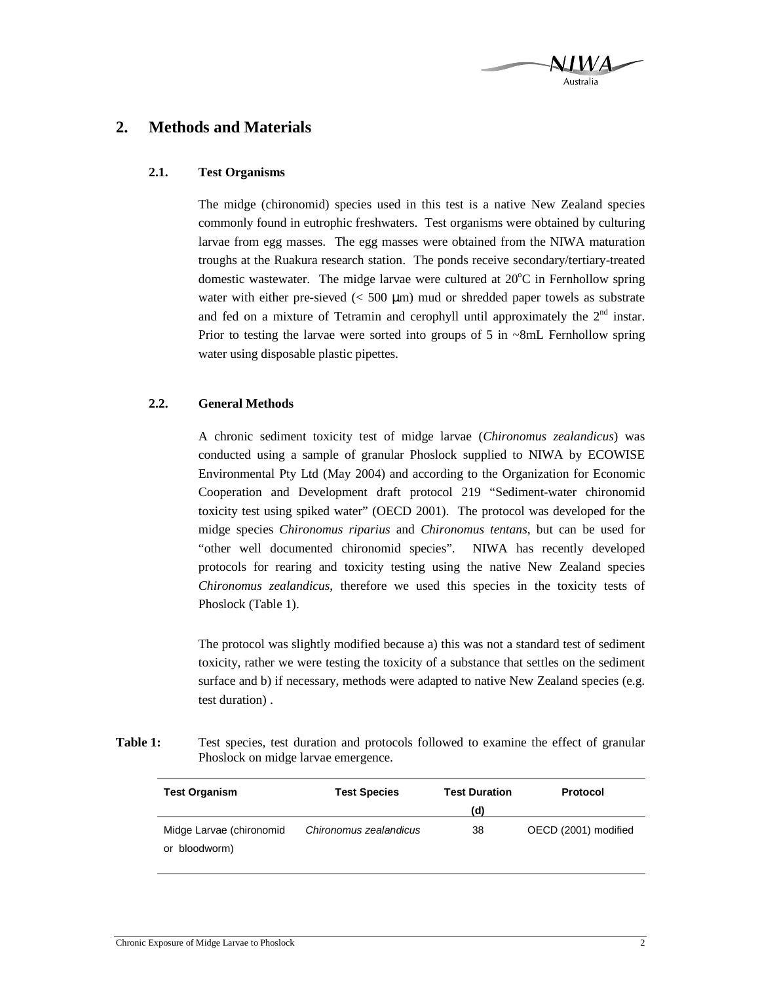

# **2. Methods and Materials**

### **2.1. Test Organisms**

The midge (chironomid) species used in this test is a native New Zealand species commonly found in eutrophic freshwaters. Test organisms were obtained by culturing larvae from egg masses. The egg masses were obtained from the NIWA maturation troughs at the Ruakura research station. The ponds receive secondary/tertiary-treated domestic wastewater. The midge larvae were cultured at  $20^{\circ}$ C in Fernhollow spring water with either pre-sieved  $\ll$  500  $\mu$ m) mud or shredded paper towels as substrate and fed on a mixture of Tetramin and cerophyll until approximately the  $2<sup>nd</sup>$  instar. Prior to testing the larvae were sorted into groups of 5 in ~8mL Fernhollow spring water using disposable plastic pipettes.

### **2.2. General Methods**

A chronic sediment toxicity test of midge larvae (*Chironomus zealandicus*) was conducted using a sample of granular Phoslock supplied to NIWA by ECOWISE Environmental Pty Ltd (May 2004) and according to the Organization for Economic Cooperation and Development draft protocol 219 "Sediment-water chironomid toxicity test using spiked water" (OECD 2001). The protocol was developed for the midge species *Chironomus riparius* and *Chironomus tentans*, but can be used for "other well documented chironomid species". NIWA has recently developed protocols for rearing and toxicity testing using the native New Zealand species *Chironomus zealandicus*, therefore we used this species in the toxicity tests of Phoslock (Table 1).

The protocol was slightly modified because a) this was not a standard test of sediment toxicity, rather we were testing the toxicity of a substance that settles on the sediment surface and b) if necessary, methods were adapted to native New Zealand species (e.g. test duration) .

**Table 1:** Test species, test duration and protocols followed to examine the effect of granular Phoslock on midge larvae emergence.

| <b>Test Organism</b>                      | <b>Test Species</b>    | <b>Test Duration</b> | Protocol             |  |
|-------------------------------------------|------------------------|----------------------|----------------------|--|
|                                           |                        | (d)                  |                      |  |
| Midge Larvae (chironomid<br>or bloodworm) | Chironomus zealandicus | 38                   | OECD (2001) modified |  |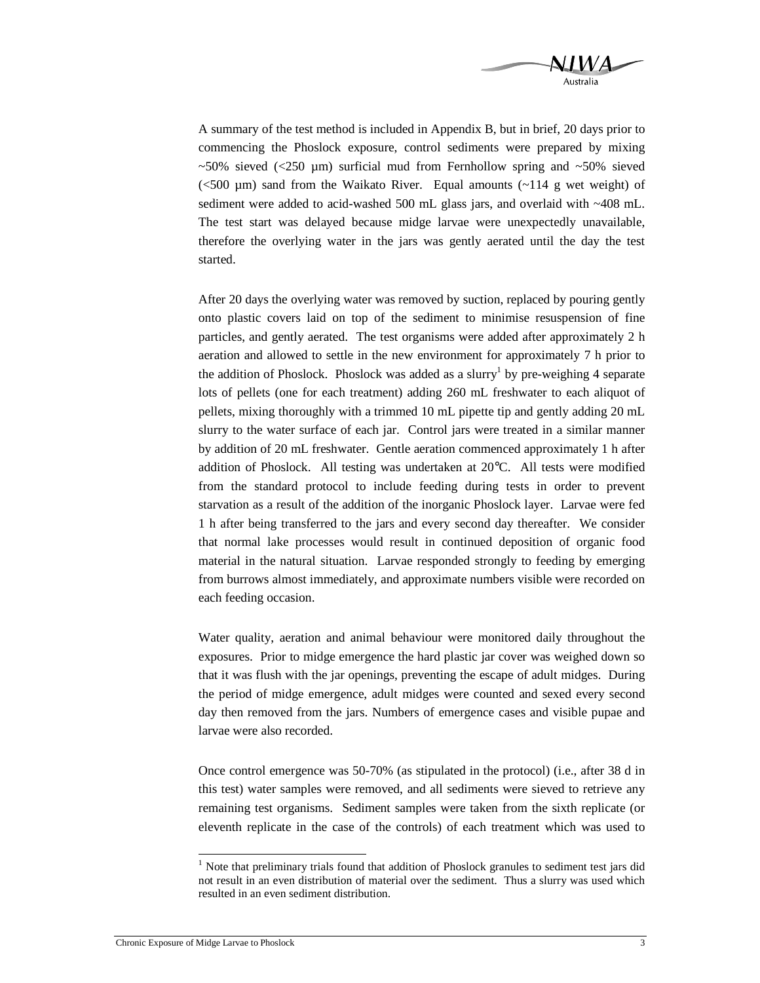

A summary of the test method is included in Appendix B, but in brief, 20 days prior to commencing the Phoslock exposure, control sediments were prepared by mixing  $\sim$ 50% sieved (<250 µm) surficial mud from Fernhollow spring and  $\sim$ 50% sieved ( $500 \mu m$ ) sand from the Waikato River. Equal amounts ( $-114 \mu$  g wet weight) of sediment were added to acid-washed 500 mL glass jars, and overlaid with ~408 mL. The test start was delayed because midge larvae were unexpectedly unavailable, therefore the overlying water in the jars was gently aerated until the day the test started.

After 20 days the overlying water was removed by suction, replaced by pouring gently onto plastic covers laid on top of the sediment to minimise resuspension of fine particles, and gently aerated. The test organisms were added after approximately 2 h aeration and allowed to settle in the new environment for approximately 7 h prior to the addition of Phoslock. Phoslock was added as a slurry<sup>1</sup> by pre-weighing 4 separate lots of pellets (one for each treatment) adding 260 mL freshwater to each aliquot of pellets, mixing thoroughly with a trimmed 10 mL pipette tip and gently adding 20 mL slurry to the water surface of each jar. Control jars were treated in a similar manner by addition of 20 mL freshwater. Gentle aeration commenced approximately 1 h after addition of Phoslock. All testing was undertaken at 20°C. All tests were modified from the standard protocol to include feeding during tests in order to prevent starvation as a result of the addition of the inorganic Phoslock layer. Larvae were fed 1 h after being transferred to the jars and every second day thereafter. We consider that normal lake processes would result in continued deposition of organic food material in the natural situation. Larvae responded strongly to feeding by emerging from burrows almost immediately, and approximate numbers visible were recorded on each feeding occasion.

Water quality, aeration and animal behaviour were monitored daily throughout the exposures. Prior to midge emergence the hard plastic jar cover was weighed down so that it was flush with the jar openings, preventing the escape of adult midges. During the period of midge emergence, adult midges were counted and sexed every second day then removed from the jars. Numbers of emergence cases and visible pupae and larvae were also recorded.

Once control emergence was 50-70% (as stipulated in the protocol) (i.e., after 38 d in this test) water samples were removed, and all sediments were sieved to retrieve any remaining test organisms. Sediment samples were taken from the sixth replicate (or eleventh replicate in the case of the controls) of each treatment which was used to

-

<sup>&</sup>lt;sup>1</sup> Note that preliminary trials found that addition of Phoslock granules to sediment test jars did not result in an even distribution of material over the sediment. Thus a slurry was used which resulted in an even sediment distribution.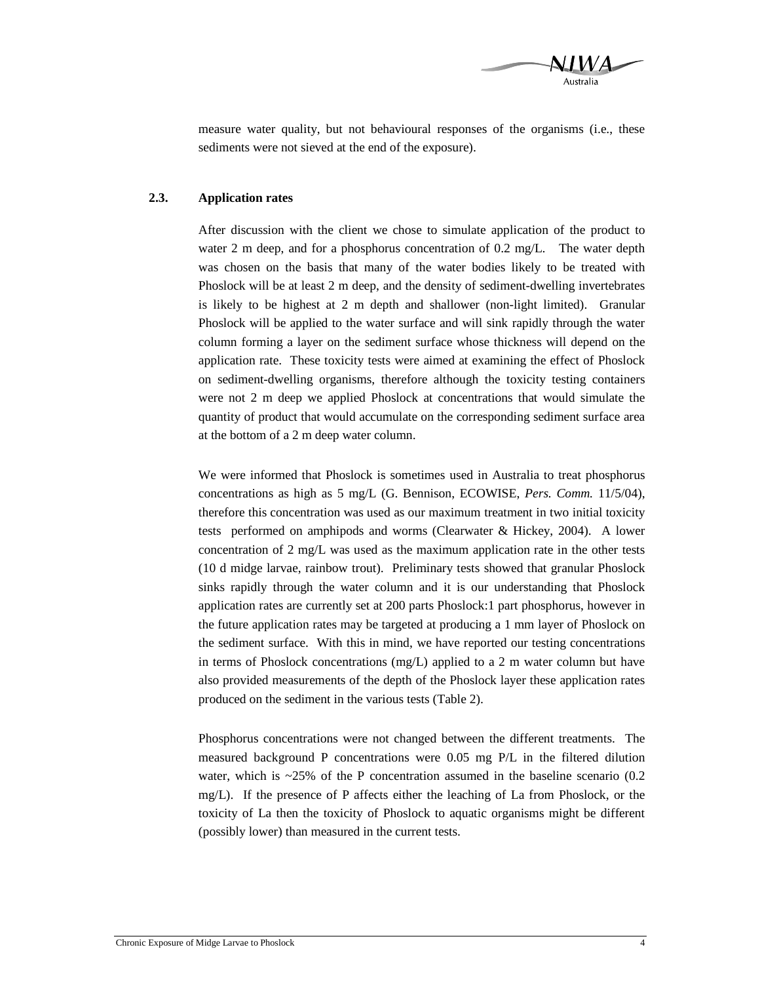

measure water quality, but not behavioural responses of the organisms (i.e., these sediments were not sieved at the end of the exposure).

### **2.3. Application rates**

After discussion with the client we chose to simulate application of the product to water 2 m deep, and for a phosphorus concentration of 0.2 mg/L. The water depth was chosen on the basis that many of the water bodies likely to be treated with Phoslock will be at least 2 m deep, and the density of sediment-dwelling invertebrates is likely to be highest at 2 m depth and shallower (non-light limited). Granular Phoslock will be applied to the water surface and will sink rapidly through the water column forming a layer on the sediment surface whose thickness will depend on the application rate. These toxicity tests were aimed at examining the effect of Phoslock on sediment-dwelling organisms, therefore although the toxicity testing containers were not 2 m deep we applied Phoslock at concentrations that would simulate the quantity of product that would accumulate on the corresponding sediment surface area at the bottom of a 2 m deep water column.

We were informed that Phoslock is sometimes used in Australia to treat phosphorus concentrations as high as 5 mg/L (G. Bennison, ECOWISE, *Pers. Comm.* 11/5/04), therefore this concentration was used as our maximum treatment in two initial toxicity tests performed on amphipods and worms (Clearwater & Hickey, 2004). A lower concentration of 2 mg/L was used as the maximum application rate in the other tests (10 d midge larvae, rainbow trout). Preliminary tests showed that granular Phoslock sinks rapidly through the water column and it is our understanding that Phoslock application rates are currently set at 200 parts Phoslock:1 part phosphorus, however in the future application rates may be targeted at producing a 1 mm layer of Phoslock on the sediment surface. With this in mind, we have reported our testing concentrations in terms of Phoslock concentrations  $(mg/L)$  applied to a 2 m water column but have also provided measurements of the depth of the Phoslock layer these application rates produced on the sediment in the various tests (Table 2).

Phosphorus concentrations were not changed between the different treatments. The measured background P concentrations were 0.05 mg P/L in the filtered dilution water, which is  $\sim$ 25% of the P concentration assumed in the baseline scenario (0.2) mg/L). If the presence of P affects either the leaching of La from Phoslock, or the toxicity of La then the toxicity of Phoslock to aquatic organisms might be different (possibly lower) than measured in the current tests.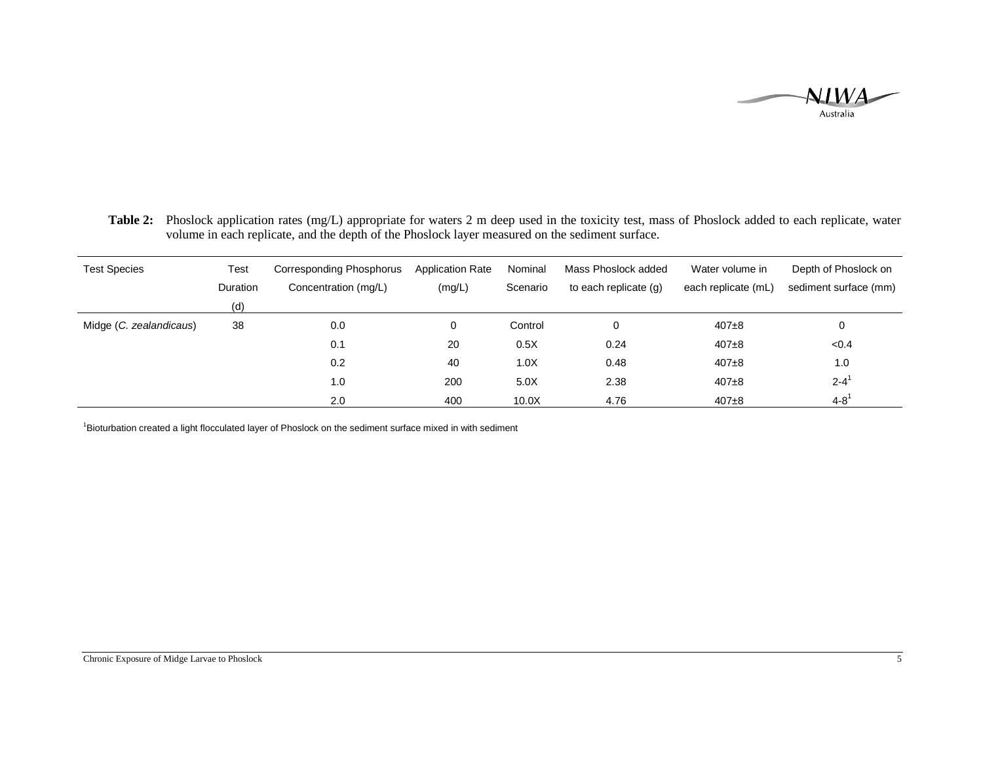

 **Table 2:** Phoslock application rates (mg/L) appropriate for waters 2 m deep used in the toxicity test, mass of Phoslock added to each replicate, water volume in each replicate, and the depth of the Phoslock layer measured on the sediment surface.

| <b>Test Species</b>     | Test            | Corresponding Phosphorus | <b>Application Rate</b> | Nominal  | Mass Phoslock added   | Water volume in     | Depth of Phoslock on  |
|-------------------------|-----------------|--------------------------|-------------------------|----------|-----------------------|---------------------|-----------------------|
|                         | <b>Duration</b> | Concentration (mg/L)     | (mg/L)                  | Scenario | to each replicate (g) | each replicate (mL) | sediment surface (mm) |
|                         | (d)             |                          |                         |          |                       |                     |                       |
| Midge (C. zealandicaus) | 38              | 0.0                      | 0                       | Control  |                       | $407+8$             | 0                     |
|                         |                 | 0.1                      | 20                      | 0.5X     | 0.24                  | $407 + 8$           | < 0.4                 |
|                         |                 | 0.2                      | 40                      | 1.0X     | 0.48                  | $407 + 8$           | 1.0                   |
|                         |                 | 1.0                      | 200                     | 5.0X     | 2.38                  | $407 + 8$           | $2 - 4^1$             |
|                         |                 | 2.0                      | 400                     | 10.0X    | 4.76                  | $407 + 8$           | $4 - 8^1$             |

<sup>1</sup>Bioturbation created a light flocculated layer of Phoslock on the sediment surface mixed in with sediment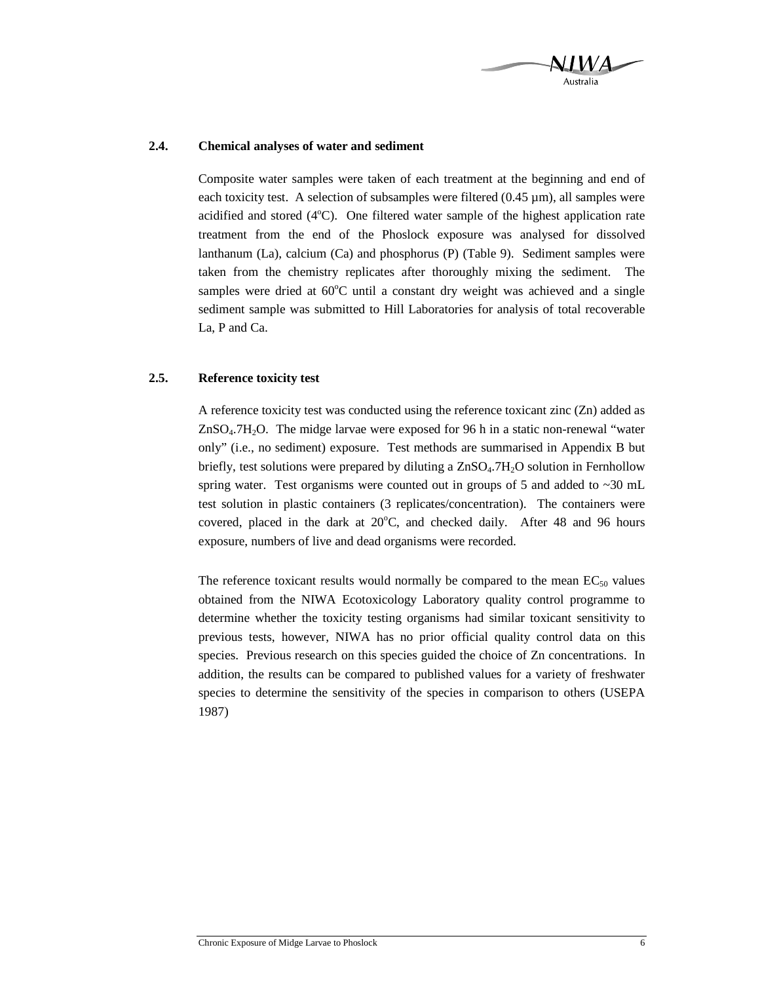

### **2.4. Chemical analyses of water and sediment**

Composite water samples were taken of each treatment at the beginning and end of each toxicity test. A selection of subsamples were filtered  $(0.45 \mu m)$ , all samples were acidified and stored  $(4^{\circ}C)$ . One filtered water sample of the highest application rate treatment from the end of the Phoslock exposure was analysed for dissolved lanthanum (La), calcium (Ca) and phosphorus (P) (Table 9). Sediment samples were taken from the chemistry replicates after thoroughly mixing the sediment. The samples were dried at  $60^{\circ}$ C until a constant dry weight was achieved and a single sediment sample was submitted to Hill Laboratories for analysis of total recoverable La, P and Ca.

### **2.5. Reference toxicity test**

A reference toxicity test was conducted using the reference toxicant zinc (Zn) added as  $ZnSO<sub>4</sub>·7H<sub>2</sub>O$ . The midge larvae were exposed for 96 h in a static non-renewal "water only" (i.e., no sediment) exposure. Test methods are summarised in Appendix B but briefly, test solutions were prepared by diluting a ZnSO4.7H2O solution in Fernhollow spring water. Test organisms were counted out in groups of 5 and added to  $\sim$ 30 mL test solution in plastic containers (3 replicates/concentration). The containers were covered, placed in the dark at  $20^{\circ}$ C, and checked daily. After 48 and 96 hours exposure, numbers of live and dead organisms were recorded.

The reference toxicant results would normally be compared to the mean  $EC_{50}$  values obtained from the NIWA Ecotoxicology Laboratory quality control programme to determine whether the toxicity testing organisms had similar toxicant sensitivity to previous tests, however, NIWA has no prior official quality control data on this species. Previous research on this species guided the choice of Zn concentrations. In addition, the results can be compared to published values for a variety of freshwater species to determine the sensitivity of the species in comparison to others (USEPA 1987)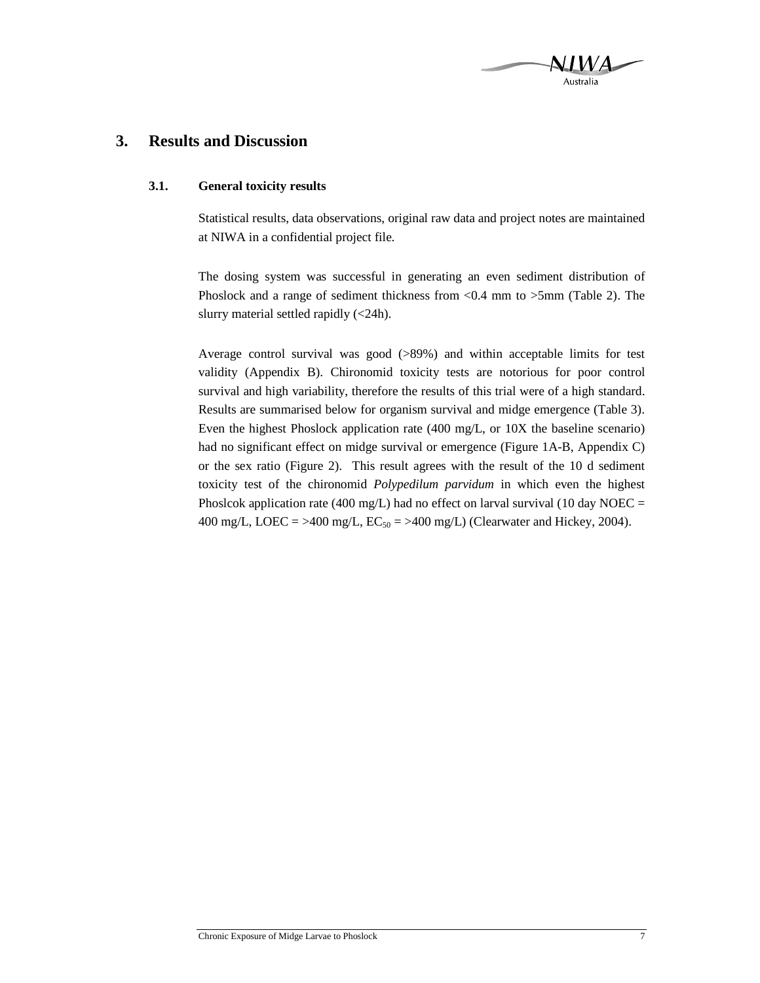# **3. Results and Discussion**

### **3.1. General toxicity results**

Statistical results, data observations, original raw data and project notes are maintained at NIWA in a confidential project file.

The dosing system was successful in generating an even sediment distribution of Phoslock and a range of sediment thickness from <0.4 mm to >5mm (Table 2). The slurry material settled rapidly (<24h).

Average control survival was good (>89%) and within acceptable limits for test validity (Appendix B). Chironomid toxicity tests are notorious for poor control survival and high variability, therefore the results of this trial were of a high standard. Results are summarised below for organism survival and midge emergence (Table 3). Even the highest Phoslock application rate (400 mg/L, or 10X the baseline scenario) had no significant effect on midge survival or emergence (Figure 1A-B, Appendix C) or the sex ratio (Figure 2). This result agrees with the result of the 10 d sediment toxicity test of the chironomid *Polypedilum parvidum* in which even the highest Phoslcok application rate (400 mg/L) had no effect on larval survival (10 day NOEC = 400 mg/L, LOEC = >400 mg/L,  $EC_{50}$  = >400 mg/L) (Clearwater and Hickey, 2004).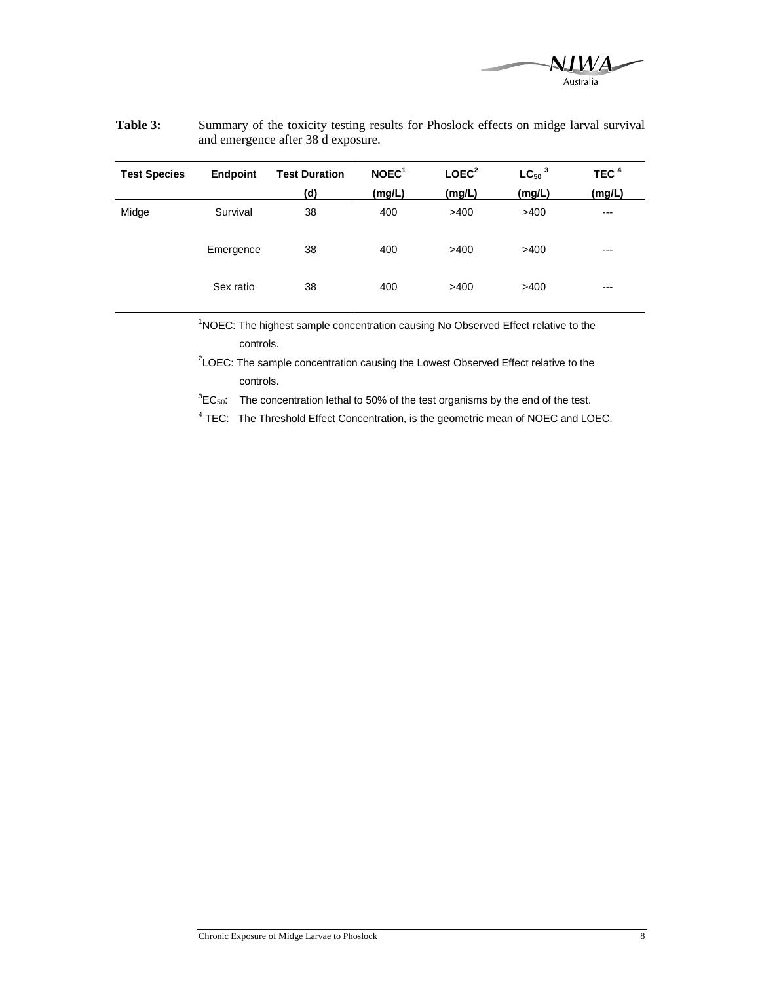

| <b>Test Species</b> | Endpoint  | <b>Test Duration</b> | NOEC <sup>1</sup> | LOEC <sup>2</sup> | $LC50$ <sup>3</sup> | TEC $4$ |
|---------------------|-----------|----------------------|-------------------|-------------------|---------------------|---------|
|                     |           | (d)                  | (mg/L)            | (mg/L)            | (mg/L)              | (mg/L)  |
| Midge               | Survival  | 38                   | 400               | >400              | >400                | $---$   |
|                     | Emergence | 38                   | 400               | >400              | >400                | $---$   |
|                     | Sex ratio | 38                   | 400               | >400              | >400                | $---$   |

### **Table 3:** Summary of the toxicity testing results for Phoslock effects on midge larval survival and emergence after 38 d exposure.

<sup>1</sup>NOEC: The highest sample concentration causing No Observed Effect relative to the controls.

<sup>2</sup>LOEC: The sample concentration causing the Lowest Observed Effect relative to the controls.

 ${}^{3}EC_{50}$ : The concentration lethal to 50% of the test organisms by the end of the test.

 $4$  TEC: The Threshold Effect Concentration, is the geometric mean of NOEC and LOEC.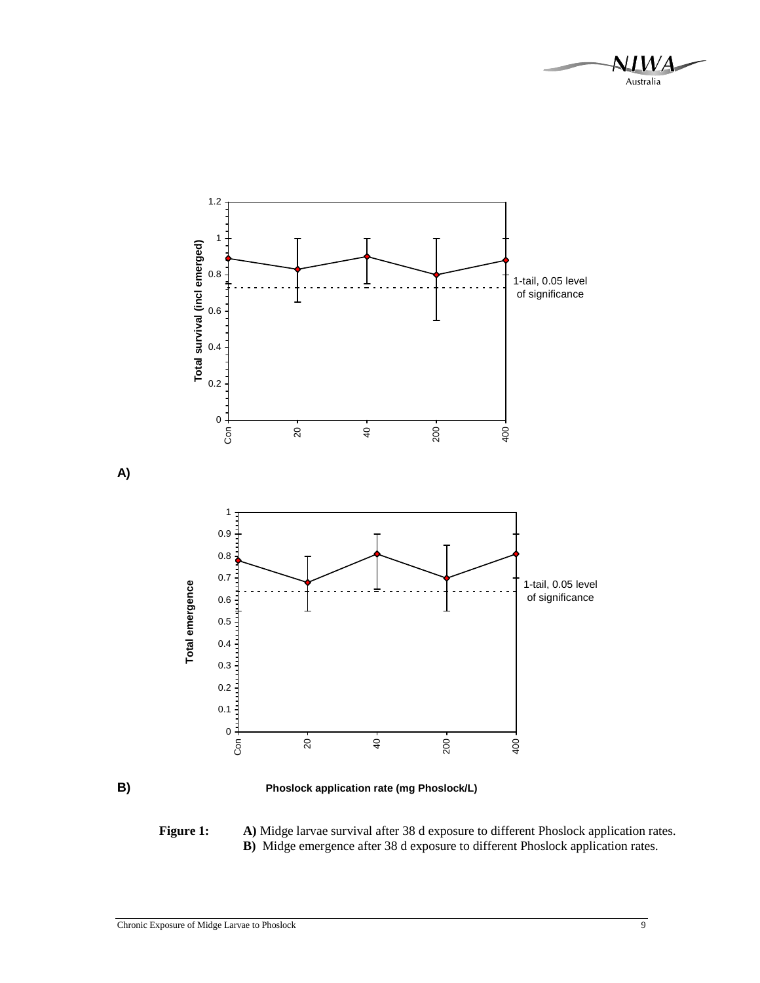



**A)** 

**B) Phoslock application rate (mg Phoslock/L)** 

**Figure 1: A)** Midge larvae survival after 38 d exposure to different Phoslock application rates.  **B)** Midge emergence after 38 d exposure to different Phoslock application rates.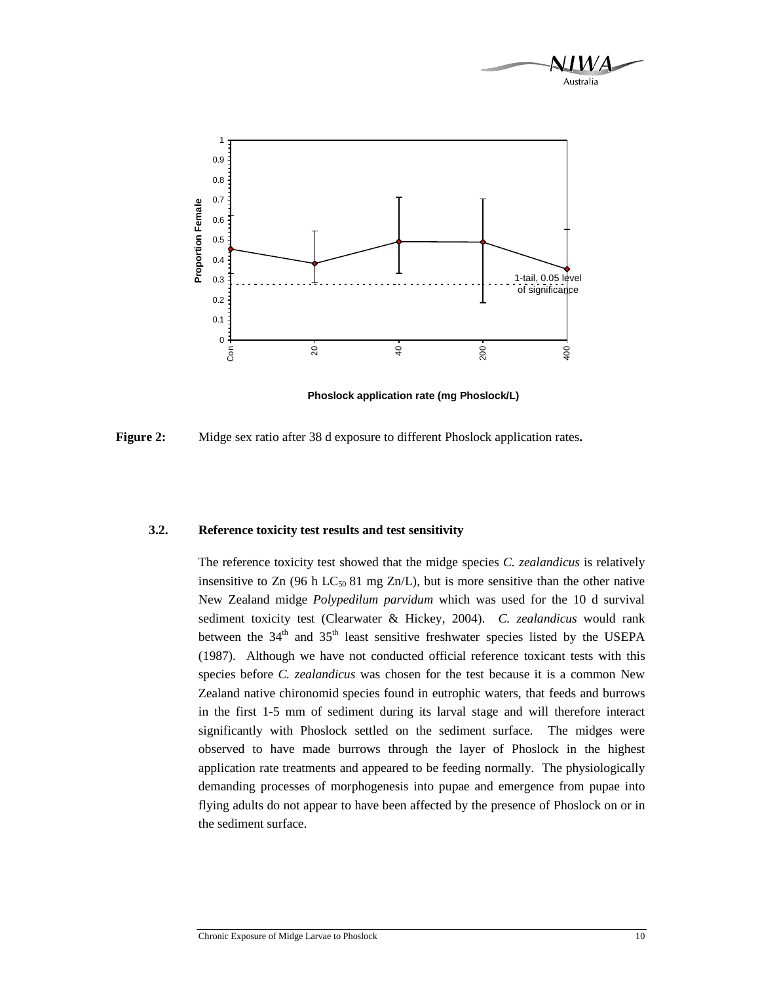![](_page_13_Figure_0.jpeg)

![](_page_13_Figure_1.jpeg)

**Phoslock application rate (mg Phoslock/L)** 

**Figure 2:** Midge sex ratio after 38 d exposure to different Phoslock application rates**.** 

#### **3.2. Reference toxicity test results and test sensitivity**

The reference toxicity test showed that the midge species *C. zealandicus* is relatively insensitive to Zn (96 h LC<sub>50</sub> 81 mg Zn/L), but is more sensitive than the other native New Zealand midge *Polypedilum parvidum* which was used for the 10 d survival sediment toxicity test (Clearwater & Hickey, 2004). *C. zealandicus* would rank between the  $34<sup>th</sup>$  and  $35<sup>th</sup>$  least sensitive freshwater species listed by the USEPA (1987). Although we have not conducted official reference toxicant tests with this species before *C. zealandicus* was chosen for the test because it is a common New Zealand native chironomid species found in eutrophic waters, that feeds and burrows in the first 1-5 mm of sediment during its larval stage and will therefore interact significantly with Phoslock settled on the sediment surface. The midges were observed to have made burrows through the layer of Phoslock in the highest application rate treatments and appeared to be feeding normally. The physiologically demanding processes of morphogenesis into pupae and emergence from pupae into flying adults do not appear to have been affected by the presence of Phoslock on or in the sediment surface.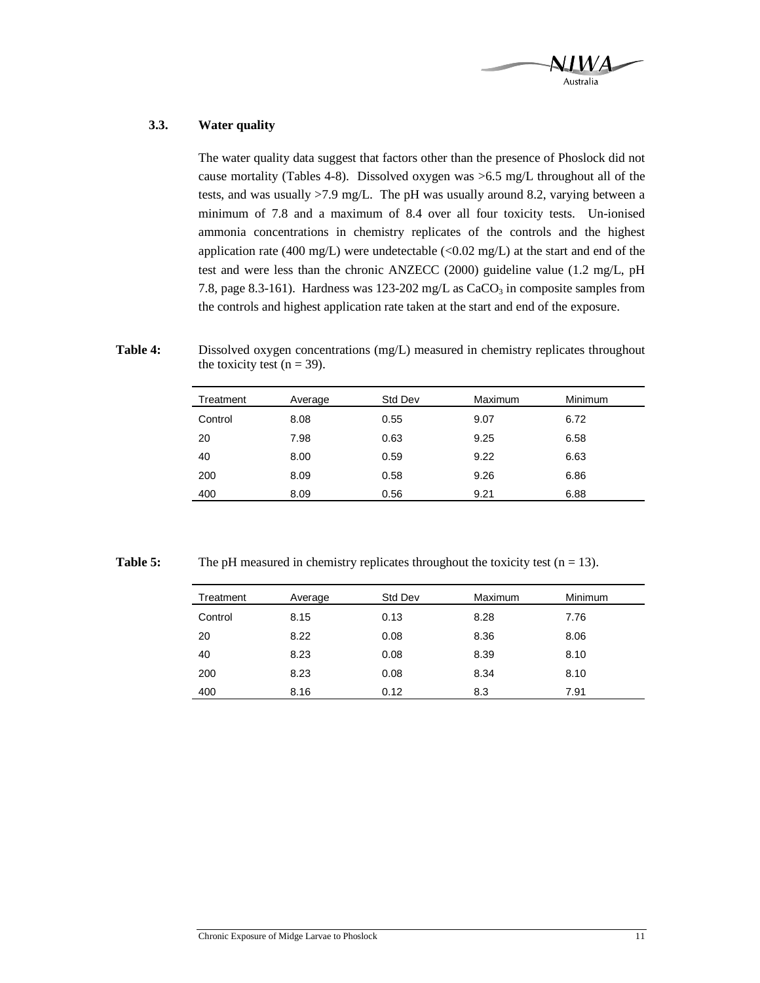![](_page_14_Picture_0.jpeg)

### **3.3. Water quality**

The water quality data suggest that factors other than the presence of Phoslock did not cause mortality (Tables 4-8). Dissolved oxygen was >6.5 mg/L throughout all of the tests, and was usually >7.9 mg/L. The pH was usually around 8.2, varying between a minimum of 7.8 and a maximum of 8.4 over all four toxicity tests. Un-ionised ammonia concentrations in chemistry replicates of the controls and the highest application rate (400 mg/L) were undetectable  $(<0.02$  mg/L) at the start and end of the test and were less than the chronic ANZECC (2000) guideline value (1.2 mg/L, pH 7.8, page 8.3-161). Hardness was 123-202 mg/L as  $CaCO<sub>3</sub>$  in composite samples from the controls and highest application rate taken at the start and end of the exposure.

**Table 4:** Dissolved oxygen concentrations (mg/L) measured in chemistry replicates throughout the toxicity test ( $n = 39$ ).

| Treatment | Average | Std Dev | Maximum | Minimum |
|-----------|---------|---------|---------|---------|
| Control   | 8.08    | 0.55    | 9.07    | 6.72    |
| 20        | 7.98    | 0.63    | 9.25    | 6.58    |
| 40        | 8.00    | 0.59    | 9.22    | 6.63    |
| 200       | 8.09    | 0.58    | 9.26    | 6.86    |
| 400       | 8.09    | 0.56    | 9.21    | 6.88    |

**Table 5:** The pH measured in chemistry replicates throughout the toxicity test  $(n = 13)$ .

| Treatment | Average | Std Dev | Maximum | Minimum |
|-----------|---------|---------|---------|---------|
| Control   | 8.15    | 0.13    | 8.28    | 7.76    |
| 20        | 8.22    | 0.08    | 8.36    | 8.06    |
| 40        | 8.23    | 0.08    | 8.39    | 8.10    |
| 200       | 8.23    | 0.08    | 8.34    | 8.10    |
| 400       | 8.16    | 0.12    | 8.3     | 7.91    |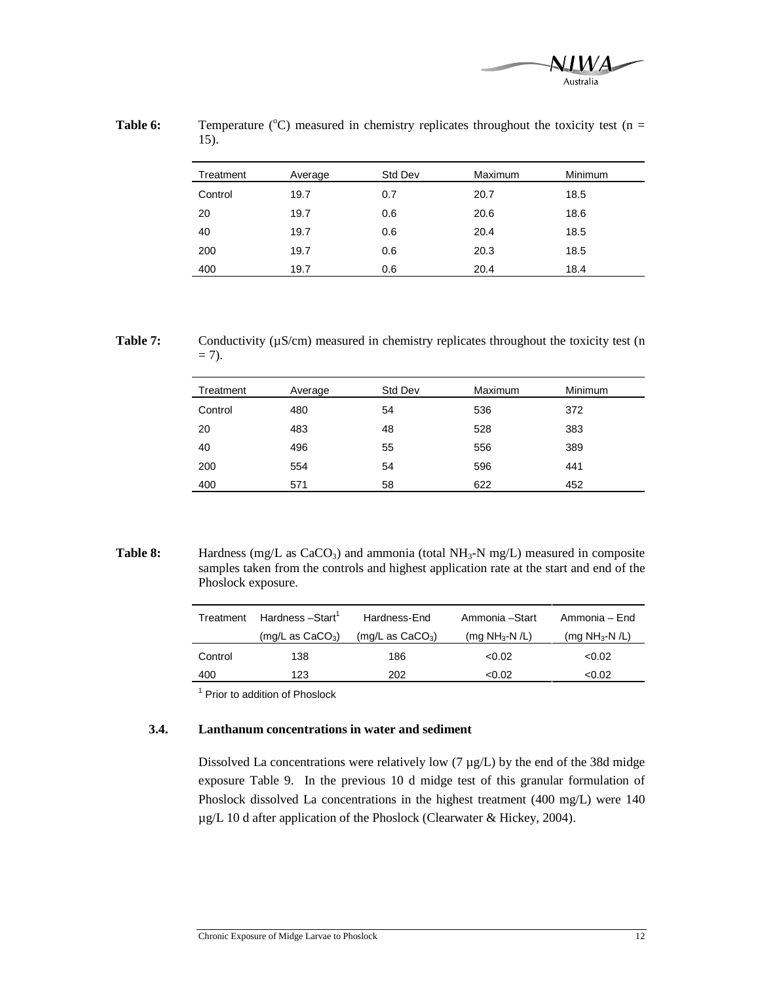![](_page_15_Picture_0.jpeg)

| 15).      |         |         |                |         |  |  |  |
|-----------|---------|---------|----------------|---------|--|--|--|
| Treatment | Average | Std Dev | <b>Maximum</b> | Minimum |  |  |  |
| Control   | 19.7    | 0.7     | 20.7           | 18.5    |  |  |  |
| 20        | 19.7    | 0.6     | 20.6           | 18.6    |  |  |  |
| 40        | 19.7    | 0.6     | 20.4           | 18.5    |  |  |  |
| 200       | 19.7    | 0.6     | 20.3           | 18.5    |  |  |  |
| 400       | 19.7    | 0.6     | 20.4           | 18.4    |  |  |  |

**Table 6:** Temperature ( $^{\circ}$ C) measured in chemistry replicates throughout the toxicity test (n = 15).

**Table 7:** Conductivity ( $\mu$ S/cm) measured in chemistry replicates throughout the toxicity test (n  $= 7$ ).

| Treatment | Average | Std Dev | Maximum | Minimum |
|-----------|---------|---------|---------|---------|
| Control   | 480     | 54      | 536     | 372     |
| 20        | 483     | 48      | 528     | 383     |
| 40        | 496     | 55      | 556     | 389     |
| 200       | 554     | 54      | 596     | 441     |
| 400       | 571     | 58      | 622     | 452     |

**Table 8:** Hardness (mg/L as CaCO<sub>3</sub>) and ammonia (total NH<sub>3</sub>-N mg/L) measured in composite samples taken from the controls and highest application rate at the start and end of the Phoslock exposure.

| Treatment | Hardness - Start <sup>1</sup> | Hardness-End               | Ammonia -Start                | Ammonia – End                 |
|-----------|-------------------------------|----------------------------|-------------------------------|-------------------------------|
|           | $(mg/L \text{ as } CaCO3)$    | $(mg/L \text{ as } CaCO3)$ | (mg NH <sub>3</sub> -N $/L$ ) | (mg NH <sub>3</sub> -N $/L$ ) |
| Control   | 138                           | 186                        | < 0.02                        | < 0.02                        |
| 400       | 123                           | 202                        | <0.02                         | < 0.02                        |

<sup>1</sup> Prior to addition of Phoslock

### **3.4. Lanthanum concentrations in water and sediment**

Dissolved La concentrations were relatively low  $(7 \mu g/L)$  by the end of the 38d midge exposure Table 9. In the previous 10 d midge test of this granular formulation of Phoslock dissolved La concentrations in the highest treatment (400 mg/L) were 140 µg/L 10 d after application of the Phoslock (Clearwater & Hickey, 2004).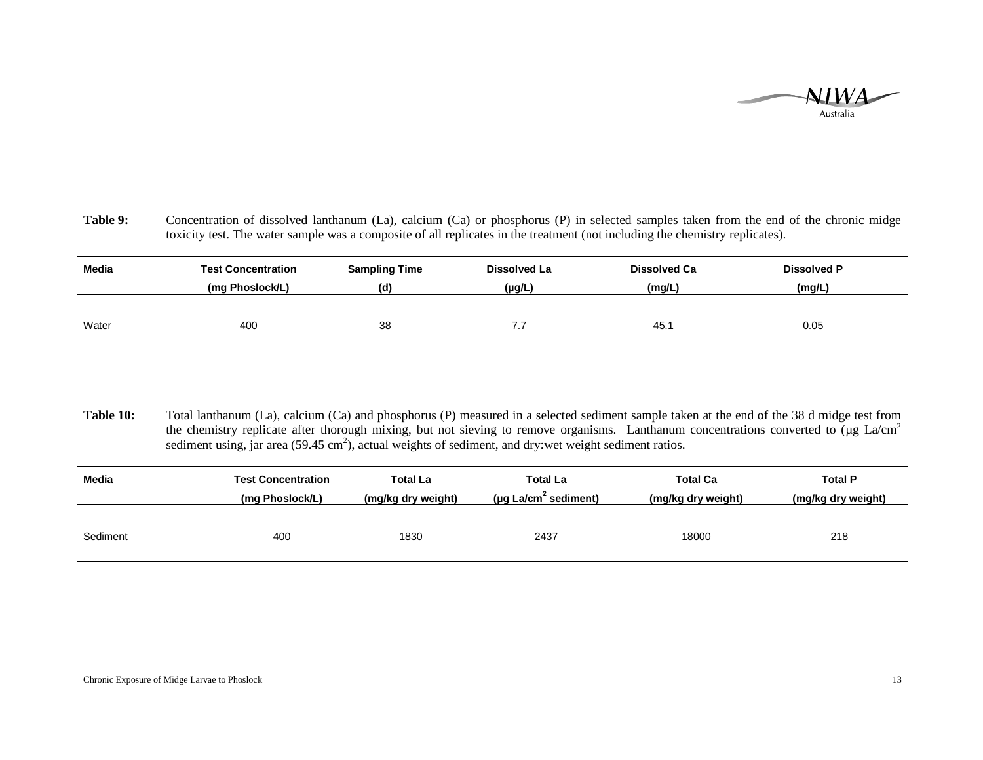![](_page_16_Picture_0.jpeg)

Table 9: Concentration of dissolved lanthanum (La), calcium (Ca) or phosphorus (P) in selected samples taken from the end of the chronic midge toxicity test. The water sample was a composite of all replicates in the treatment (not including the chemistry replicates).

| Media | <b>Test Concentration</b> | <b>Sampling Time</b> | Dissolved La | <b>Dissolved Ca</b> | <b>Dissolved P</b> |
|-------|---------------------------|----------------------|--------------|---------------------|--------------------|
|       | (mg Phoslock/L)           | (d)                  | $(\mu g/L)$  | (mg/L)              | (mg/L)             |
| Water | 400                       | 38                   | 7.7          | 45.1                | 0.05               |

**Table 10:** Total lanthanum (La), calcium (Ca) and phosphorus (P) measured in a selected sediment sample taken at the end of the 38 d midge test from the chemistry replicate after thorough mixing, but not sieving to remove organisms. Lanthanum concentrations converted to ( $\mu$ g La/cm<sup>2</sup> sediment using, jar area (59.45 cm<sup>2</sup>), actual weights of sediment, and dry:wet weight sediment ratios.

| Media    | <b>Test Concentration</b> | Total La           | <b>Total La</b>                  | <b>Total Ca</b>    | <b>Total P</b>     |
|----------|---------------------------|--------------------|----------------------------------|--------------------|--------------------|
|          | (mg Phoslock/L)           | (mg/kg dry weight) | (µg La/cm <sup>2</sup> sediment) | (mg/kg dry weight) | (mg/kg dry weight) |
| Sediment | 400                       | 1830               | 2437                             | 18000              | 218                |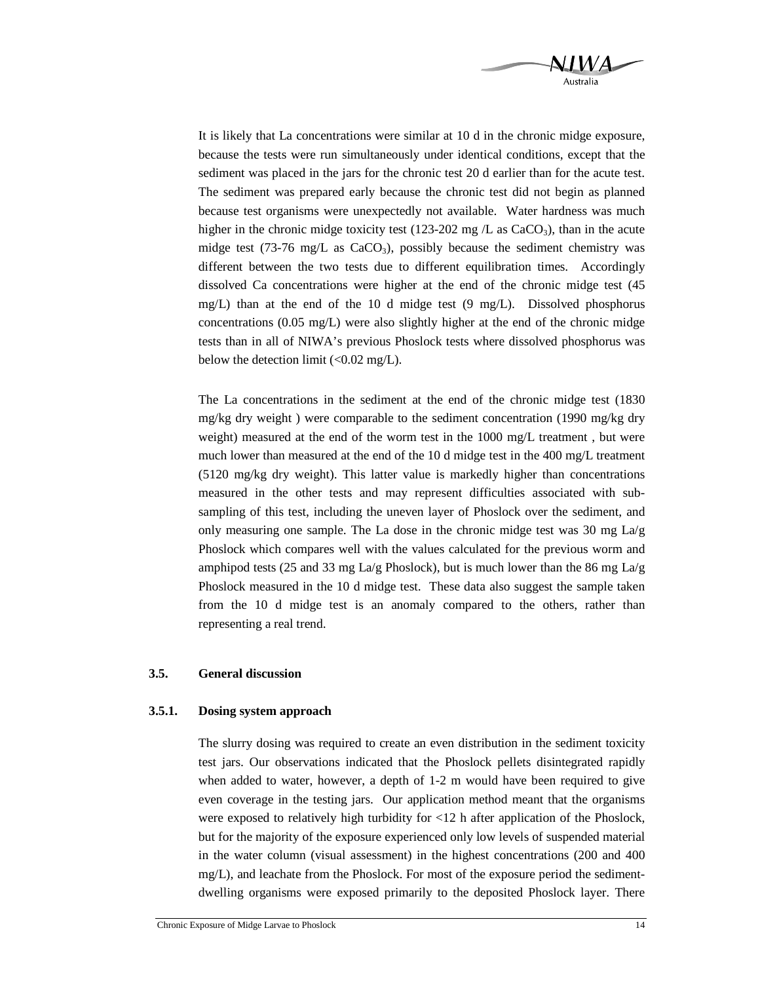![](_page_17_Picture_0.jpeg)

It is likely that La concentrations were similar at 10 d in the chronic midge exposure, because the tests were run simultaneously under identical conditions, except that the sediment was placed in the jars for the chronic test 20 d earlier than for the acute test. The sediment was prepared early because the chronic test did not begin as planned because test organisms were unexpectedly not available. Water hardness was much higher in the chronic midge toxicity test (123-202 mg  $/L$  as CaCO<sub>3</sub>), than in the acute midge test (73-76 mg/L as  $CaCO<sub>3</sub>$ ), possibly because the sediment chemistry was different between the two tests due to different equilibration times. Accordingly dissolved Ca concentrations were higher at the end of the chronic midge test (45 mg/L) than at the end of the 10 d midge test  $(9 \text{ mg/L})$ . Dissolved phosphorus concentrations  $(0.05 \text{ mg/L})$  were also slightly higher at the end of the chronic midge tests than in all of NIWA's previous Phoslock tests where dissolved phosphorus was below the detection limit  $\left($  < 0.02 mg/L).

The La concentrations in the sediment at the end of the chronic midge test (1830 mg/kg dry weight ) were comparable to the sediment concentration (1990 mg/kg dry weight) measured at the end of the worm test in the 1000 mg/L treatment , but were much lower than measured at the end of the 10 d midge test in the 400 mg/L treatment (5120 mg/kg dry weight). This latter value is markedly higher than concentrations measured in the other tests and may represent difficulties associated with subsampling of this test, including the uneven layer of Phoslock over the sediment, and only measuring one sample. The La dose in the chronic midge test was 30 mg  $La/g$ Phoslock which compares well with the values calculated for the previous worm and amphipod tests (25 and 33 mg La/g Phoslock), but is much lower than the 86 mg La/g Phoslock measured in the 10 d midge test. These data also suggest the sample taken from the 10 d midge test is an anomaly compared to the others, rather than representing a real trend.

### **3.5. General discussion**

#### **3.5.1. Dosing system approach**

The slurry dosing was required to create an even distribution in the sediment toxicity test jars. Our observations indicated that the Phoslock pellets disintegrated rapidly when added to water, however, a depth of 1-2 m would have been required to give even coverage in the testing jars. Our application method meant that the organisms were exposed to relatively high turbidity for <12 h after application of the Phoslock, but for the majority of the exposure experienced only low levels of suspended material in the water column (visual assessment) in the highest concentrations (200 and 400 mg/L), and leachate from the Phoslock. For most of the exposure period the sedimentdwelling organisms were exposed primarily to the deposited Phoslock layer. There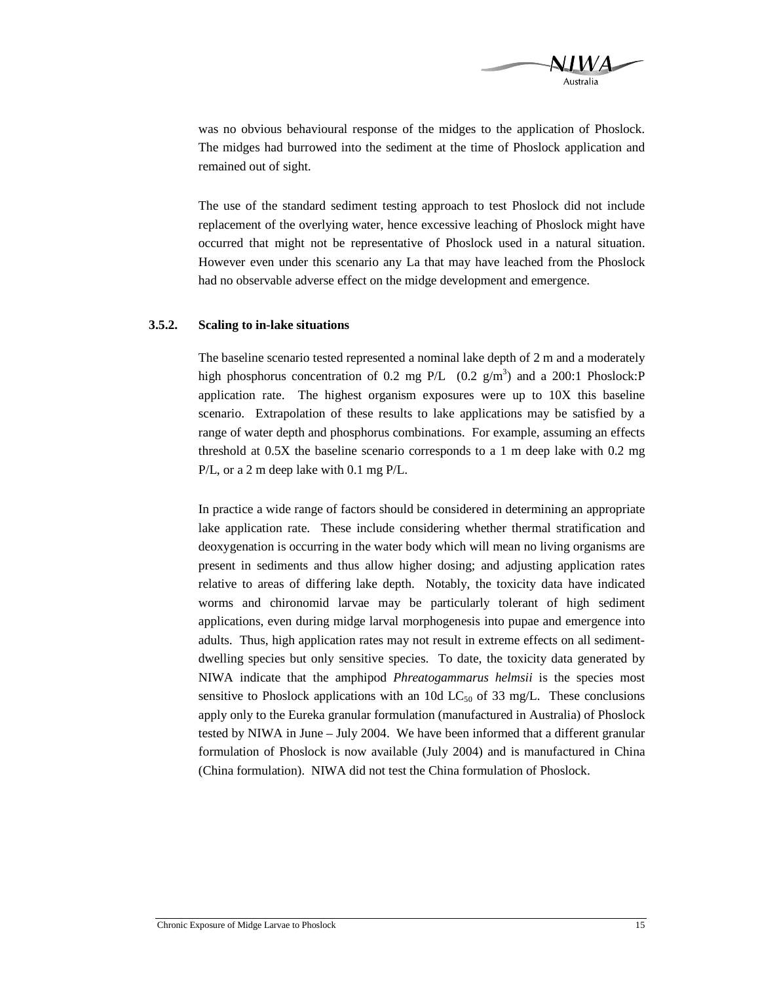![](_page_18_Picture_0.jpeg)

was no obvious behavioural response of the midges to the application of Phoslock. The midges had burrowed into the sediment at the time of Phoslock application and remained out of sight.

The use of the standard sediment testing approach to test Phoslock did not include replacement of the overlying water, hence excessive leaching of Phoslock might have occurred that might not be representative of Phoslock used in a natural situation. However even under this scenario any La that may have leached from the Phoslock had no observable adverse effect on the midge development and emergence.

#### **3.5.2. Scaling to in-lake situations**

The baseline scenario tested represented a nominal lake depth of 2 m and a moderately high phosphorus concentration of 0.2 mg P/L  $(0.2 \text{ g/m}^3)$  and a 200:1 Phoslock:P application rate. The highest organism exposures were up to 10X this baseline scenario. Extrapolation of these results to lake applications may be satisfied by a range of water depth and phosphorus combinations. For example, assuming an effects threshold at 0.5X the baseline scenario corresponds to a 1 m deep lake with 0.2 mg P/L, or a 2 m deep lake with 0.1 mg P/L.

In practice a wide range of factors should be considered in determining an appropriate lake application rate. These include considering whether thermal stratification and deoxygenation is occurring in the water body which will mean no living organisms are present in sediments and thus allow higher dosing; and adjusting application rates relative to areas of differing lake depth. Notably, the toxicity data have indicated worms and chironomid larvae may be particularly tolerant of high sediment applications, even during midge larval morphogenesis into pupae and emergence into adults. Thus, high application rates may not result in extreme effects on all sedimentdwelling species but only sensitive species. To date, the toxicity data generated by NIWA indicate that the amphipod *Phreatogammarus helmsii* is the species most sensitive to Phoslock applications with an 10d  $LC_{50}$  of 33 mg/L. These conclusions apply only to the Eureka granular formulation (manufactured in Australia) of Phoslock tested by NIWA in June – July 2004. We have been informed that a different granular formulation of Phoslock is now available (July 2004) and is manufactured in China (China formulation). NIWA did not test the China formulation of Phoslock.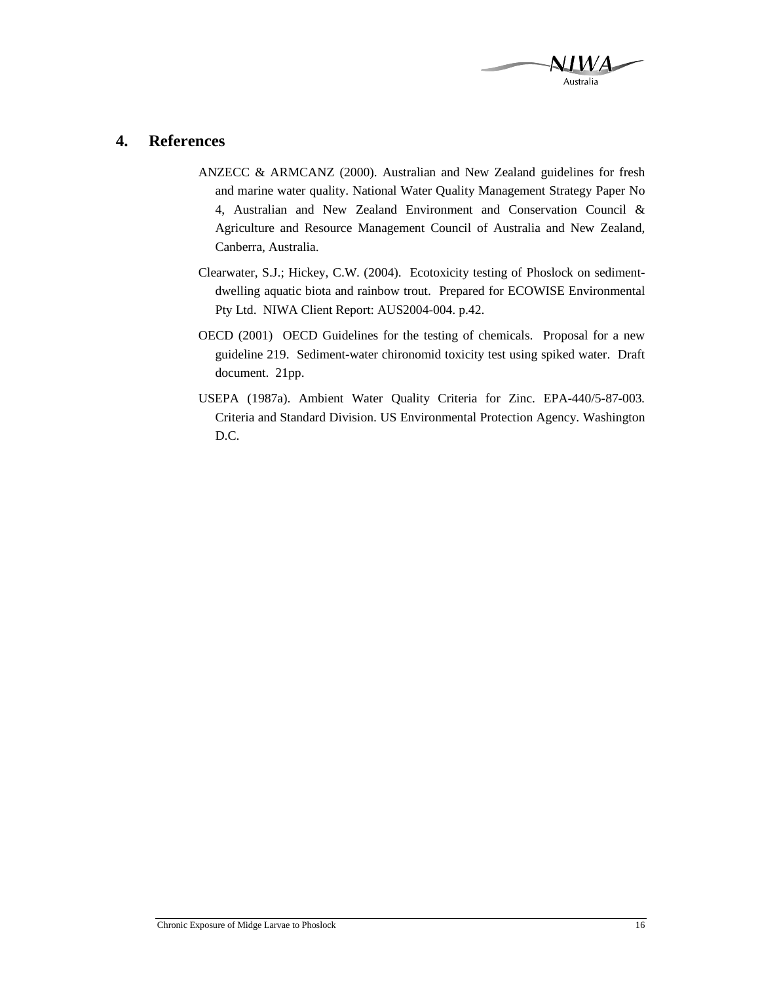![](_page_19_Picture_0.jpeg)

# **4. References**

- ANZECC & ARMCANZ (2000). Australian and New Zealand guidelines for fresh and marine water quality. National Water Quality Management Strategy Paper No 4, Australian and New Zealand Environment and Conservation Council & Agriculture and Resource Management Council of Australia and New Zealand, Canberra, Australia.
- Clearwater, S.J.; Hickey, C.W. (2004). Ecotoxicity testing of Phoslock on sedimentdwelling aquatic biota and rainbow trout. Prepared for ECOWISE Environmental Pty Ltd. NIWA Client Report: AUS2004-004. p.42.
- OECD (2001) OECD Guidelines for the testing of chemicals. Proposal for a new guideline 219. Sediment-water chironomid toxicity test using spiked water. Draft document. 21pp.
- USEPA (1987a). Ambient Water Quality Criteria for Zinc. EPA-440/5-87-003*.*  Criteria and Standard Division. US Environmental Protection Agency. Washington D.C.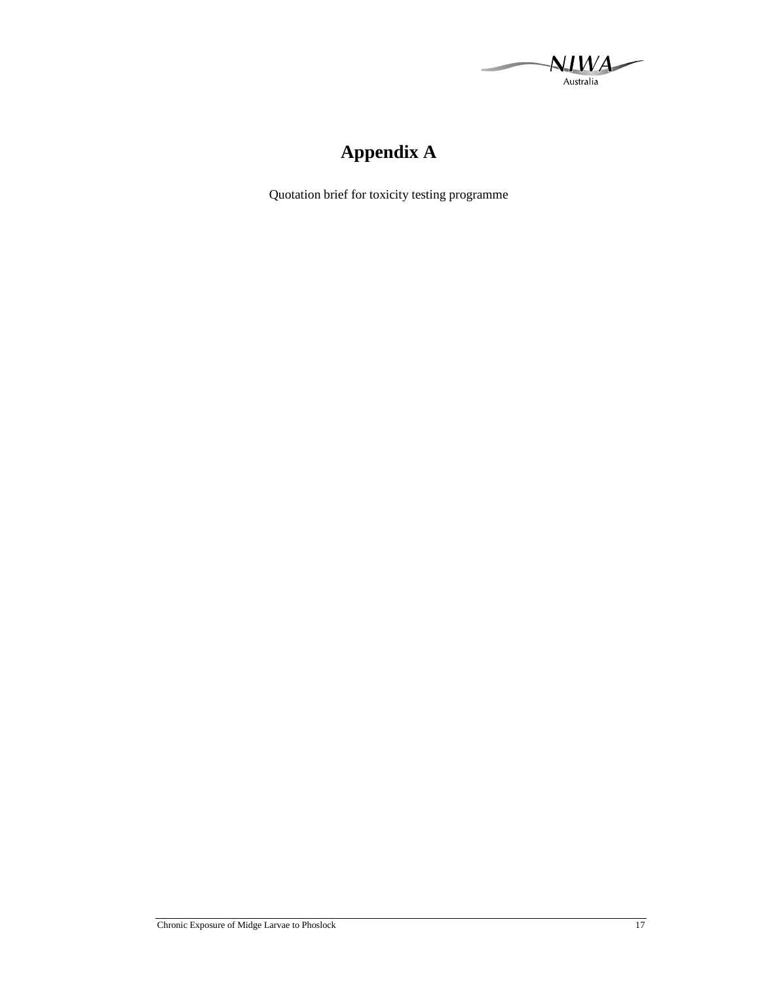A. Australia

# **Appendix A**

Quotation brief for toxicity testing programme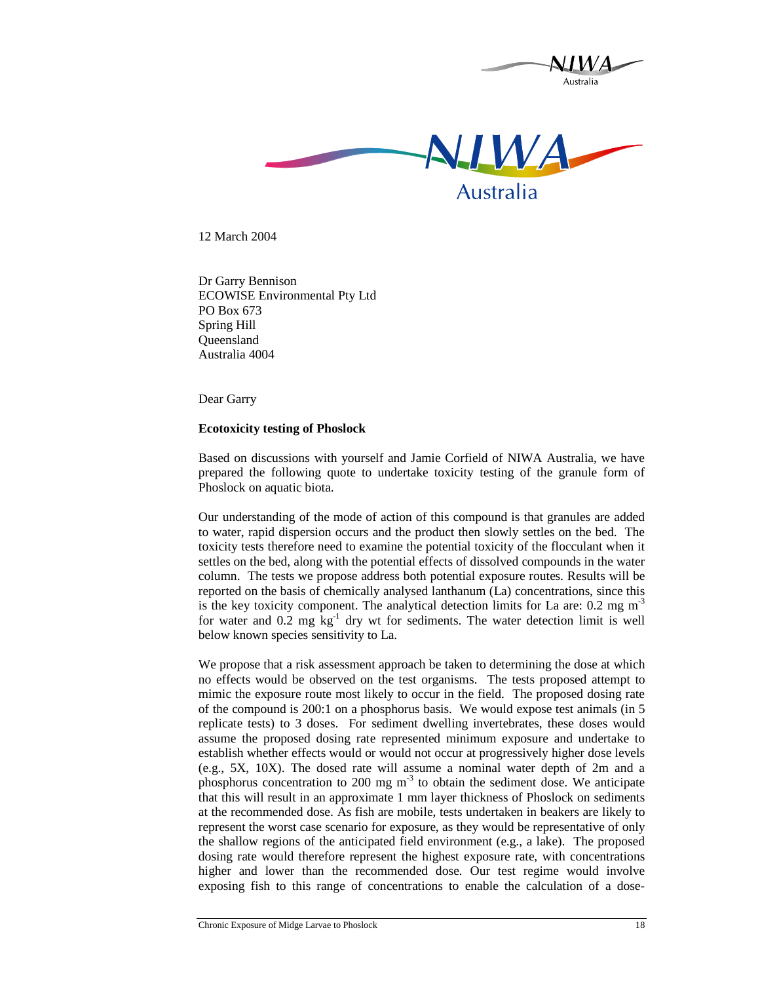![](_page_21_Picture_0.jpeg)

12 March 2004

Dr Garry Bennison ECOWISE Environmental Pty Ltd PO Box 673 Spring Hill Queensland Australia 4004

Dear Garry

### **Ecotoxicity testing of Phoslock**

Based on discussions with yourself and Jamie Corfield of NIWA Australia, we have prepared the following quote to undertake toxicity testing of the granule form of Phoslock on aquatic biota.

Our understanding of the mode of action of this compound is that granules are added to water, rapid dispersion occurs and the product then slowly settles on the bed. The toxicity tests therefore need to examine the potential toxicity of the flocculant when it settles on the bed, along with the potential effects of dissolved compounds in the water column. The tests we propose address both potential exposure routes. Results will be reported on the basis of chemically analysed lanthanum (La) concentrations, since this is the key toxicity component. The analytical detection limits for La are:  $0.2 \text{ mg m}^3$ for water and  $0.2 \text{ mg kg}^{-1}$  dry wt for sediments. The water detection limit is well below known species sensitivity to La.

We propose that a risk assessment approach be taken to determining the dose at which no effects would be observed on the test organisms. The tests proposed attempt to mimic the exposure route most likely to occur in the field. The proposed dosing rate of the compound is 200:1 on a phosphorus basis. We would expose test animals (in 5 replicate tests) to 3 doses. For sediment dwelling invertebrates, these doses would assume the proposed dosing rate represented minimum exposure and undertake to establish whether effects would or would not occur at progressively higher dose levels (e.g., 5X, 10X). The dosed rate will assume a nominal water depth of 2m and a phosphorus concentration to 200 mg  $m<sup>-3</sup>$  to obtain the sediment dose. We anticipate that this will result in an approximate 1 mm layer thickness of Phoslock on sediments at the recommended dose. As fish are mobile, tests undertaken in beakers are likely to represent the worst case scenario for exposure, as they would be representative of only the shallow regions of the anticipated field environment (e.g., a lake). The proposed dosing rate would therefore represent the highest exposure rate, with concentrations higher and lower than the recommended dose. Our test regime would involve exposing fish to this range of concentrations to enable the calculation of a dose-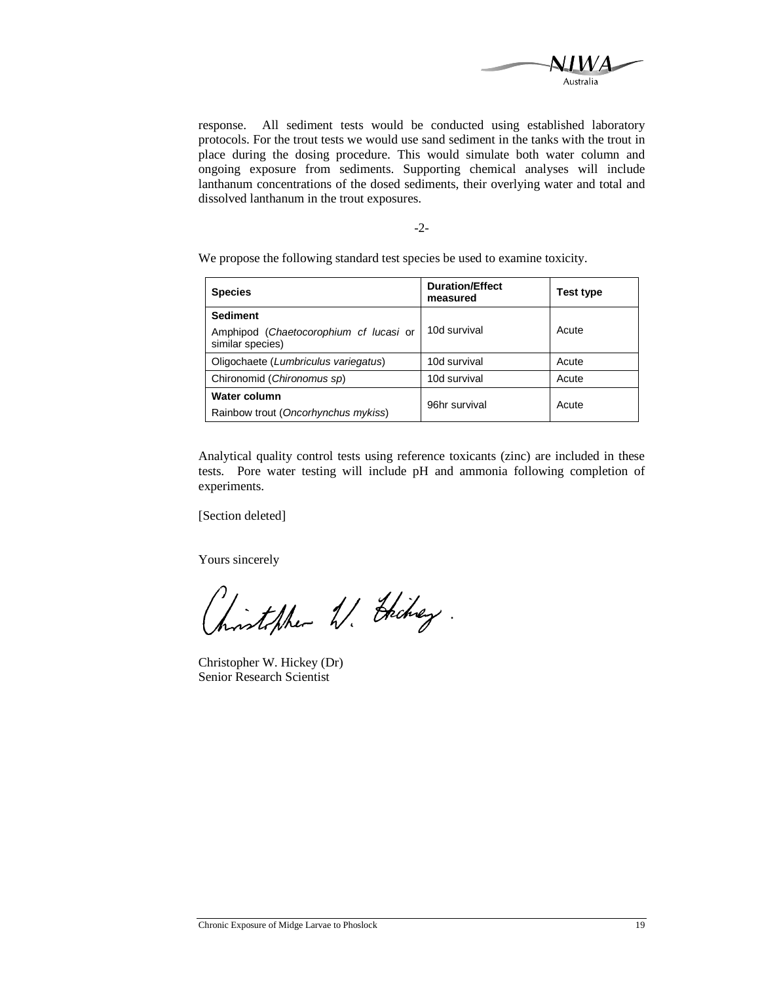![](_page_22_Picture_0.jpeg)

response. All sediment tests would be conducted using established laboratory protocols. For the trout tests we would use sand sediment in the tanks with the trout in place during the dosing procedure. This would simulate both water column and ongoing exposure from sediments. Supporting chemical analyses will include lanthanum concentrations of the dosed sediments, their overlying water and total and dissolved lanthanum in the trout exposures.

-2-

We propose the following standard test species be used to examine toxicity.

| <b>Species</b>                                             | <b>Duration/Effect</b><br>measured | Test type |
|------------------------------------------------------------|------------------------------------|-----------|
| <b>Sediment</b>                                            |                                    |           |
| Amphipod (Chaetocorophium cf lucasi or<br>similar species) | 10d survival                       | Acute     |
| Oligochaete (Lumbriculus variegatus)                       | 10d survival                       | Acute     |
| Chironomid (Chironomus sp)                                 | 10d survival                       | Acute     |
| Water column                                               | 96hr survival                      | Acute     |
| Rainbow trout (Oncorhynchus mykiss)                        |                                    |           |

Analytical quality control tests using reference toxicants (zinc) are included in these tests. Pore water testing will include pH and ammonia following completion of experiments.

[Section deleted]

Yours sincerely

inteller 11. Deckey

Christopher W. Hickey (Dr) Senior Research Scientist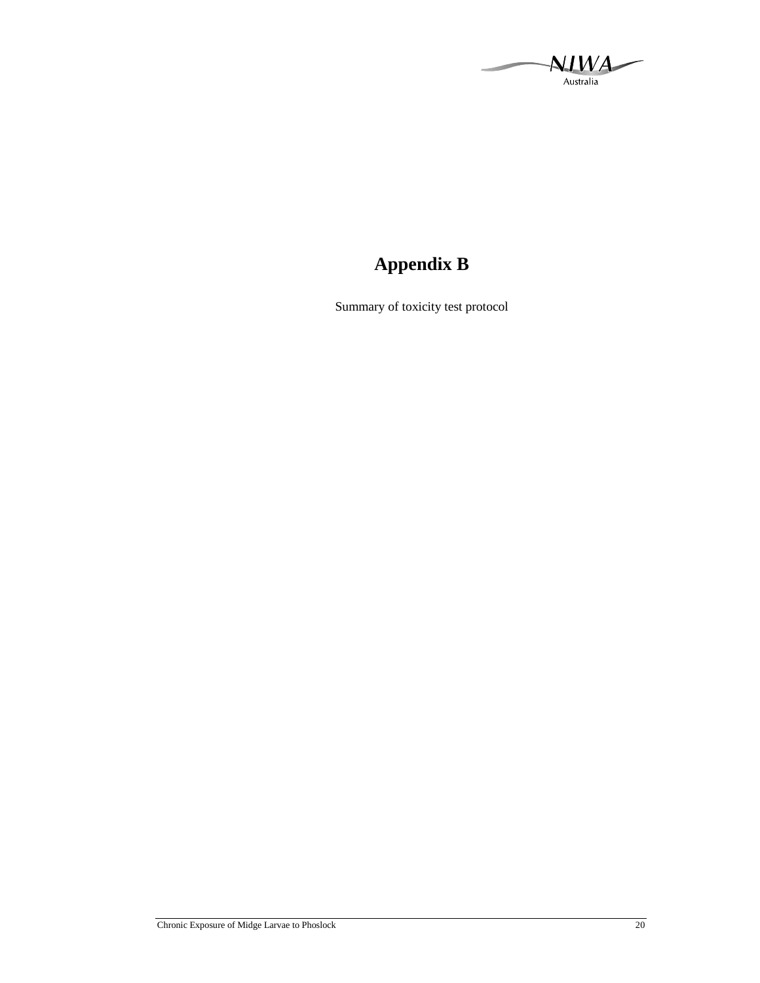A) Australia

# **Appendix B**

Summary of toxicity test protocol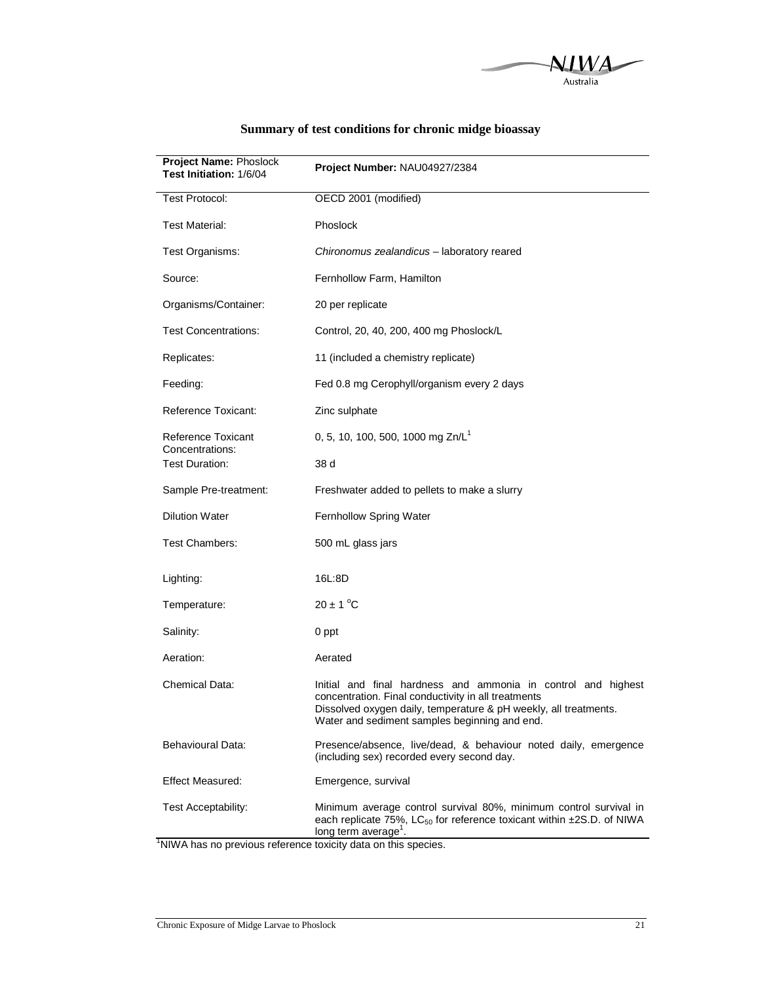![](_page_24_Picture_0.jpeg)

| Project Name: Phoslock<br>Test Initiation: 1/6/04 | Project Number: NAU04927/2384                                                                                                                                                                                                             |
|---------------------------------------------------|-------------------------------------------------------------------------------------------------------------------------------------------------------------------------------------------------------------------------------------------|
| <b>Test Protocol:</b>                             | OECD 2001 (modified)                                                                                                                                                                                                                      |
| Test Material:                                    | Phoslock                                                                                                                                                                                                                                  |
| Test Organisms:                                   | Chironomus zealandicus - laboratory reared                                                                                                                                                                                                |
| Source:                                           | Fernhollow Farm, Hamilton                                                                                                                                                                                                                 |
| Organisms/Container:                              | 20 per replicate                                                                                                                                                                                                                          |
| Test Concentrations:                              | Control, 20, 40, 200, 400 mg Phoslock/L                                                                                                                                                                                                   |
| Replicates:                                       | 11 (included a chemistry replicate)                                                                                                                                                                                                       |
| Feeding:                                          | Fed 0.8 mg Cerophyll/organism every 2 days                                                                                                                                                                                                |
| Reference Toxicant:                               | Zinc sulphate                                                                                                                                                                                                                             |
| Reference Toxicant<br>Concentrations:             | 0, 5, 10, 100, 500, 1000 mg Zn/L <sup>1</sup>                                                                                                                                                                                             |
| <b>Test Duration:</b>                             | 38 d                                                                                                                                                                                                                                      |
| Sample Pre-treatment:                             | Freshwater added to pellets to make a slurry                                                                                                                                                                                              |
| <b>Dilution Water</b>                             | Fernhollow Spring Water                                                                                                                                                                                                                   |
| Test Chambers:                                    | 500 mL glass jars                                                                                                                                                                                                                         |
| Lighting:                                         | 16L:8D                                                                                                                                                                                                                                    |
| Temperature:                                      | $20 \pm 1$ °C                                                                                                                                                                                                                             |
| Salinity:                                         | 0 ppt                                                                                                                                                                                                                                     |
| Aeration:                                         | Aerated                                                                                                                                                                                                                                   |
| Chemical Data:                                    | Initial and final hardness and ammonia in control and highest<br>concentration. Final conductivity in all treatments<br>Dissolved oxygen daily, temperature & pH weekly, all treatments.<br>Water and sediment samples beginning and end. |
| Behavioural Data:                                 | Presence/absence, live/dead, & behaviour noted daily, emergence<br>(including sex) recorded every second day.                                                                                                                             |
| <b>Effect Measured:</b>                           | Emergence, survival                                                                                                                                                                                                                       |
| Test Acceptability:                               | Minimum average control survival 80%, minimum control survival in<br>each replicate 75%, LC $_{50}$ for reference toxicant within $\pm$ 2S.D. of NIWA<br>long term average <sup>1</sup> .                                                 |

## **Summary of test conditions for chronic midge bioassay**

<sup>1</sup>NIWA has no previous reference toxicity data on this species.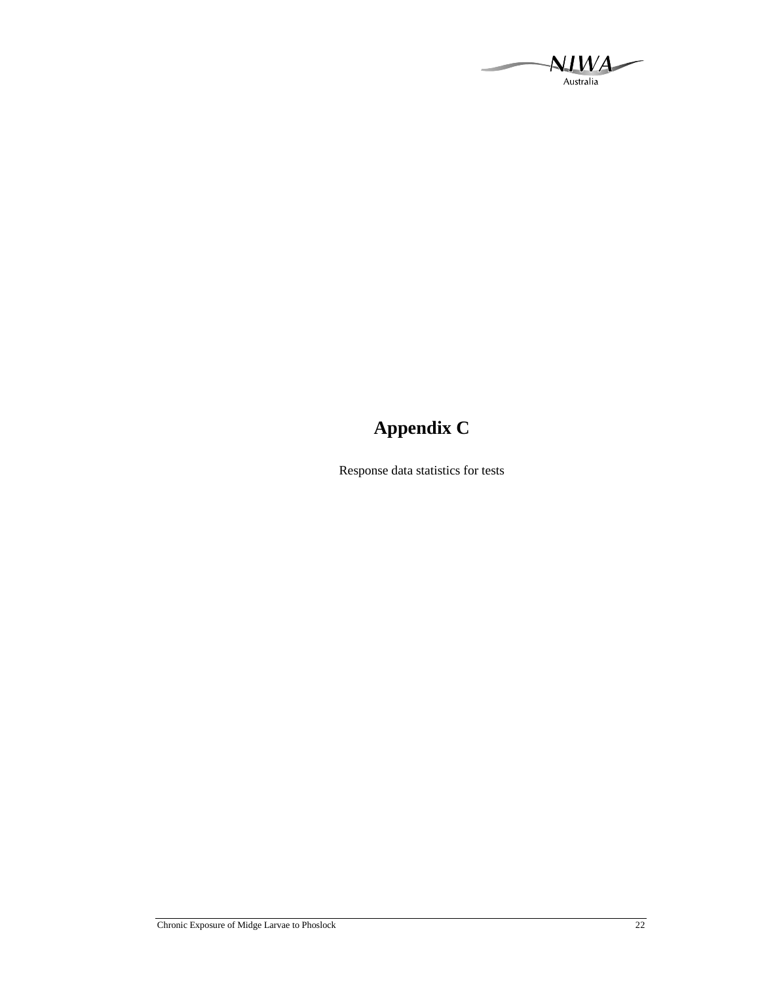NIWA Australia

# **Appendix C**

Response data statistics for tests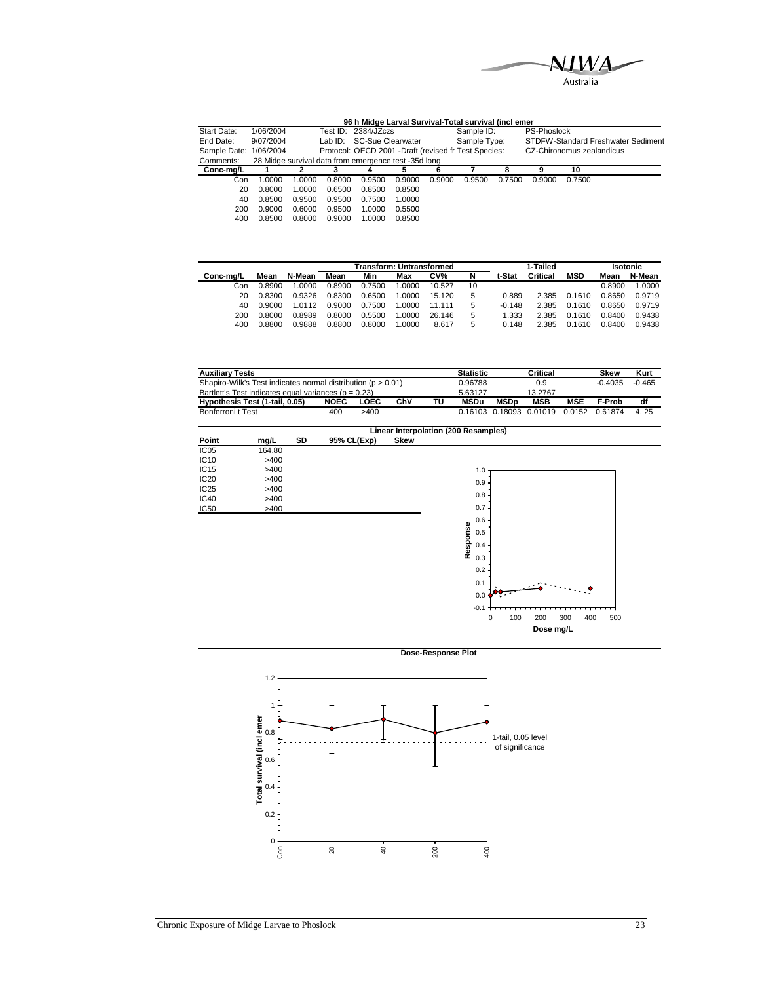![](_page_26_Picture_0.jpeg)

|                        | 96 h Midge Larval Survival-Total survival (incl emer |        |        |                                                       |        |        |              |        |                           |        |                                    |  |  |  |
|------------------------|------------------------------------------------------|--------|--------|-------------------------------------------------------|--------|--------|--------------|--------|---------------------------|--------|------------------------------------|--|--|--|
| Start Date:            | 1/06/2004                                            |        |        | Test ID: 2384/JZczs                                   |        |        | Sample ID:   |        | PS-Phoslock               |        |                                    |  |  |  |
| End Date:              | 9/07/2004                                            |        |        | Lab ID: SC-Sue Clearwater                             |        |        | Sample Type: |        |                           |        | STDFW-Standard Freshwater Sediment |  |  |  |
| Sample Date: 1/06/2004 |                                                      |        |        | Protocol: OECD 2001 - Draft (revised fr Test Species: |        |        |              |        | CZ-Chironomus zealandicus |        |                                    |  |  |  |
| Comments:              |                                                      |        |        | 28 Midge survival data from emergence test -35d long  |        |        |              |        |                           |        |                                    |  |  |  |
| Conc-mg/L              |                                                      | 2      |        | 4                                                     | 5      | 6      |              | 8      | 9                         | 10     |                                    |  |  |  |
| Con                    | 1.0000                                               | 1.0000 | 0.8000 | 0.9500                                                | 0.9000 | 0.9000 | 0.9500       | 0.7500 | 0.9000                    | 0.7500 |                                    |  |  |  |
| 20                     | 0.8000                                               | 1.0000 | 0.6500 | 0.8500                                                | 0.8500 |        |              |        |                           |        |                                    |  |  |  |
| 40                     | 0.8500                                               | 0.9500 | 0.9500 | 0.7500                                                | 1.0000 |        |              |        |                           |        |                                    |  |  |  |
| 200                    | 0.9000                                               | 0.6000 | 0.9500 | 1.0000                                                | 0.5500 |        |              |        |                           |        |                                    |  |  |  |
| 400                    | 0.8500                                               | 0.8000 | 0.9000 | 1.0000                                                | 0.8500 |        |              |        |                           |        |                                    |  |  |  |

|           |        |        |        |        | <b>Transform: Untransformed</b> |        |    |          | 1-Tailed | <b>Isotonic</b> |        |        |
|-----------|--------|--------|--------|--------|---------------------------------|--------|----|----------|----------|-----------------|--------|--------|
| Conc-ma/L | Mean   | N-Mean | Mean   | Min    | Max                             | CV%    | N  | t-Stat   | Critical | <b>MSD</b>      | Mean   | N-Mean |
| Con       | 0.8900 | 1.0000 | 0.8900 | 0.7500 | .0000                           | 10.527 | 10 |          |          |                 | 0.8900 | 1.0000 |
| 20        | 0.8300 | 0.9326 | 0.8300 | 0.6500 | 1.0000                          | 15.120 | 5  | 0.889    | 2.385    | 0.1610          | 0.8650 | 0.9719 |
| 40        | 0.9000 | 1 0112 | 0.9000 | 0.7500 | 1.0000                          | 11 111 | 5  | $-0.148$ | 2.385    | 0.1610          | 0.8650 | 0.9719 |
| 200       | 0.8000 | 0.8989 | 0.8000 | 0.5500 | .0000                           | 26.146 | 5  | 1.333    | 2.385    | 0.1610          | 0.8400 | 0.9438 |
| 400       | 0.8800 | 0.9888 | 0.8800 | 0.8000 | .0000                           | 8.617  | 5  | 0.148    | 2.385    | 0.1610          | 0.8400 | 0.9438 |

| <b>Auxiliary Tests</b>                                           |             | <b>Statistic</b> |         | Critical |         | <b>Skew</b> | Kurt                    |     |                |      |
|------------------------------------------------------------------|-------------|------------------|---------|----------|---------|-------------|-------------------------|-----|----------------|------|
| Shapiro-Wilk's Test indicates normal distribution ( $p > 0.01$ ) |             | 0.96788          |         | 0.9      |         | $-0.4035$   | $-0.465$                |     |                |      |
| Bartlett's Test indicates equal variances ( $p = 0.23$ )         |             |                  | 5.63127 |          | 13.2767 |             |                         |     |                |      |
| Hypothesis Test (1-tail, 0.05)                                   | <b>NOEC</b> | <b>LOEC</b>      | ChV     | ΤU       | MSDu    | MSDn        | MSB                     | MSE | F-Prob         | df   |
| Bonferroni t Test                                                | 400         | >400             |         |          |         |             | 0.16103 0.18093 0.01019 |     | 0.0152 0.61874 | 4.25 |

|                  |        |    |             | Linear Interpolation (200 Resamples)           |
|------------------|--------|----|-------------|------------------------------------------------|
| Point            | mg/L   | SD | 95% CL(Exp) | <b>Skew</b>                                    |
| IC <sub>05</sub> | 164.80 |    |             |                                                |
| IC10             | >400   |    |             |                                                |
| IC <sub>15</sub> | >400   |    |             | 1.0                                            |
| IC <sub>20</sub> | >400   |    |             | 0.9                                            |
| IC25             | >400   |    |             |                                                |
| <b>IC40</b>      | >400   |    |             | 0.8                                            |
| <b>IC50</b>      | >400   |    |             | 0.7                                            |
|                  |        |    |             | 0.6                                            |
|                  |        |    |             | Response<br>0.5                                |
|                  |        |    |             | 0.4                                            |
|                  |        |    |             |                                                |
|                  |        |    |             | 0.3                                            |
|                  |        |    |             | 0.2                                            |
|                  |        |    |             | 0.1                                            |
|                  |        |    |             | 0.0                                            |
|                  |        |    |             |                                                |
|                  |        |    |             | $-0.1$                                         |
|                  |        |    |             | 100<br>300<br>400<br>500<br>$\mathbf 0$<br>200 |
|                  |        |    |             | Dose mg/L                                      |

![](_page_26_Figure_5.jpeg)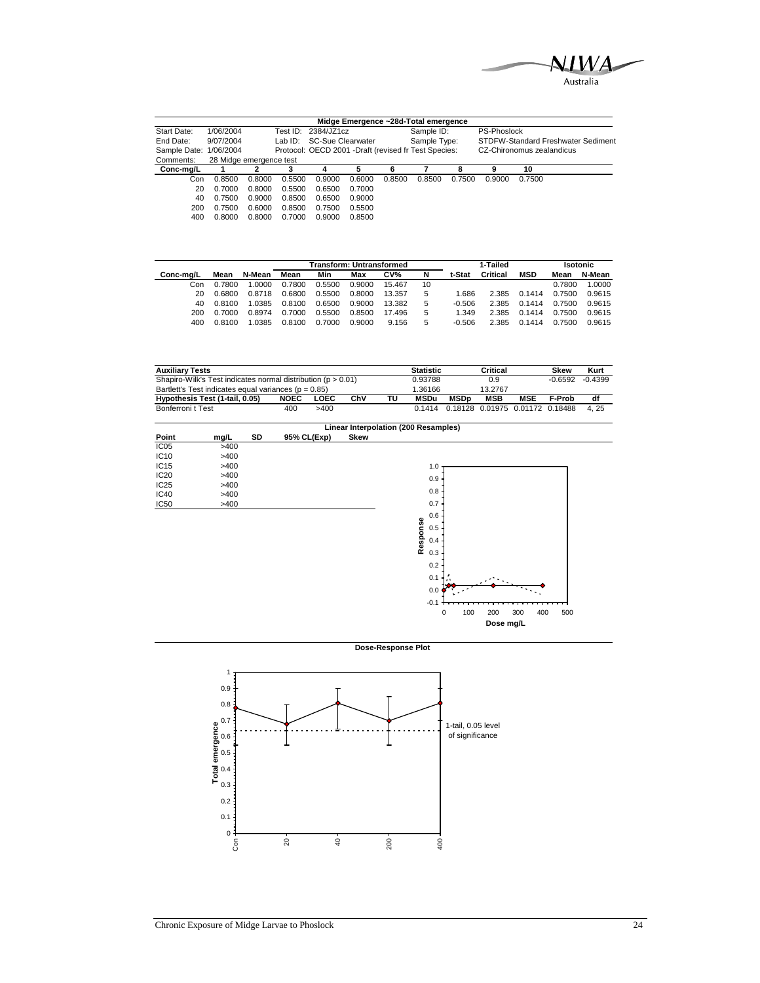![](_page_27_Picture_0.jpeg)

|                        |                         |        |            |                                                       |        |        | Midge Emergence ~28d-Total emergence |        |                    |                           |                                    |
|------------------------|-------------------------|--------|------------|-------------------------------------------------------|--------|--------|--------------------------------------|--------|--------------------|---------------------------|------------------------------------|
| Start Date:            | 1/06/2004               |        | Test ID: . | 2384/JZ1cz                                            |        |        | Sample ID:                           |        | <b>PS-Phoslock</b> |                           |                                    |
| End Date:              | 9/07/2004               |        | Lab ID:    | SC-Sue Clearwater                                     |        |        | Sample Type:                         |        |                    |                           | STDFW-Standard Freshwater Sediment |
| Sample Date: 1/06/2004 |                         |        |            | Protocol: OECD 2001 - Draft (revised fr Test Species: |        |        |                                      |        |                    | CZ-Chironomus zealandicus |                                    |
| Comments:              | 28 Midge emergence test |        |            |                                                       |        |        |                                      |        |                    |                           |                                    |
| Conc-mg/L              |                         |        |            | 4                                                     |        | 6      |                                      | 8      | 9                  | 10                        |                                    |
| Con                    | 0.8500                  | 0.8000 | 0.5500     | 0.9000                                                | 0.6000 | 0.8500 | 0.8500                               | 0.7500 | 0.9000             | 0.7500                    |                                    |
| 20                     | 0.7000                  | 0.8000 | 0.5500     | 0.6500                                                | 0.7000 |        |                                      |        |                    |                           |                                    |
| 40                     | 0.7500                  | 0.9000 | 0.8500     | 0.6500                                                | 0.9000 |        |                                      |        |                    |                           |                                    |
| 200                    | 0.7500                  | 0.6000 | 0.8500     | 0.7500                                                | 0.5500 |        |                                      |        |                    |                           |                                    |
| 400                    | 0.8000                  | 0.8000 | 0.7000     | 0.9000                                                | 0.8500 |        |                                      |        |                    |                           |                                    |

|           |        |        |        |        | Transform: Untransformed |        |    |          | 1-Tailed |            | <b>Isotonic</b> |        |  |
|-----------|--------|--------|--------|--------|--------------------------|--------|----|----------|----------|------------|-----------------|--------|--|
| Conc-ma/L | Mean   | N-Mean | Mean   | Min    | Max                      | CV%    | N  | t-Stat   | Critical | <b>MSD</b> | Mean            | N-Mean |  |
| Con       | 0.7800 | .0000  | 0.7800 | 0.5500 | 0.9000                   | 15.467 | 10 |          |          |            | 0.7800          | 1.0000 |  |
| 20        | 0.6800 | 0.8718 | 0.6800 | 0.5500 | 0.8000                   | 13.357 | 5  | 1.686    | 2.385    | 0.1414     | 0.7500          | 0.9615 |  |
| 40        | 0.8100 | 1.0385 | 0.8100 | 0.6500 | 0.9000                   | 13.382 | 5  | $-0.506$ | 2.385    | 0.1414     | 0.7500          | 0.9615 |  |
| 200       | 0.7000 | 0.8974 | 0.7000 | 0.5500 | 0.8500                   | 17.496 | 5  | 1.349    | 2.385    | 0.1414     | 0.7500          | 0.9615 |  |
| 400       | 0.8100 | .0385  | 0.8100 | 0.7000 | 0.9000                   | 9.156  | 5  | $-0.506$ | 2.385    | 0.1414     | 0.7500          | 0.9615 |  |

| <b>Auxiliary Tests</b>                                           |             |         |     |         | <b>Statistic</b> |                                            | Critical   |     | Skew   | Kurt |
|------------------------------------------------------------------|-------------|---------|-----|---------|------------------|--------------------------------------------|------------|-----|--------|------|
| Shapiro-Wilk's Test indicates normal distribution ( $p > 0.01$ ) |             | 0.93788 |     | 0.9     |                  | $-0.6592$                                  | $-0.4399$  |     |        |      |
| Bartlett's Test indicates equal variances ( $p = 0.85$ )         |             | 1.36166 |     | 13.2767 |                  |                                            |            |     |        |      |
| Hypothesis Test (1-tail, 0.05)                                   | <b>NOEC</b> | LOEC    | ChV | τu      | MSDu             | MSDn                                       | <b>MSB</b> | MSE | F-Prob | df   |
| Bonferroni t Test                                                | 400         | >400    |     |         |                  | 0.1414  0.18128  0.01975  0.01172  0.18488 |            |     |        | 4.25 |

![](_page_27_Figure_4.jpeg)

**Dose-Response Plot**

![](_page_27_Figure_6.jpeg)